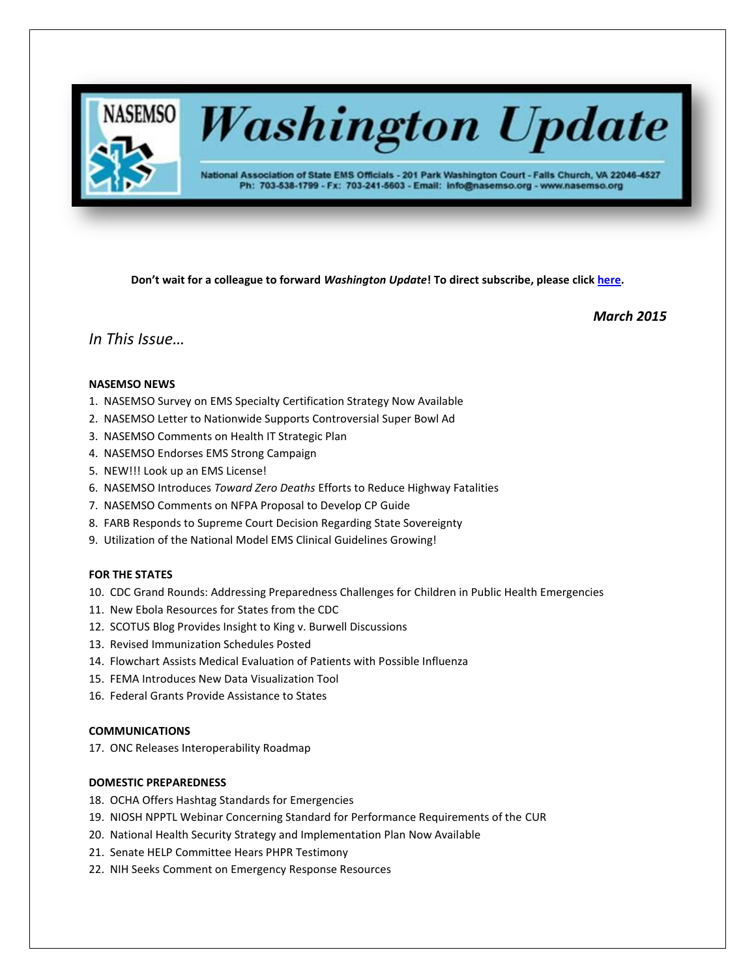

# **Washington Update**

National Association of State EMS Officials - 201 Park Washington Court - Falls Church, VA 22046-4527 Ph: 703-538-1799 - Fx: 703-241-5603 - Email: info@nasemso.org - www.nasemso.org

**Don't wait for a colleague to forward** *Washington Update***! To direct subscribe, please click [here.](http://lists.nasemso.org/read/all_forums/subscribe?name=wu%20)**

*March 2015*

# *In This Issue…*

# **NASEMSO NEWS**

- 1. NASEMSO Survey on EMS Specialty Certification Strategy Now Available
- 2. NASEMSO Letter to Nationwide Supports Controversial Super Bowl Ad
- 3. NASEMSO Comments on Health IT Strategic Plan
- 4. NASEMSO Endorses EMS Strong Campaign
- 5. NEW!!! Look up an EMS License!
- 6. NASEMSO Introduces *Toward Zero Deaths* Efforts to Reduce Highway Fatalities
- 7. NASEMSO Comments on NFPA Proposal to Develop CP Guide
- 8. FARB Responds to Supreme Court Decision Regarding State Sovereignty
- 9. Utilization of the National Model EMS Clinical Guidelines Growing!

# **FOR THE STATES**

- 10. CDC Grand Rounds: Addressing Preparedness Challenges for Children in Public Health Emergencies
- 11. New Ebola Resources for States from the CDC
- 12. SCOTUS Blog Provides Insight to King v. Burwell Discussions
- 13. Revised Immunization Schedules Posted
- 14. Flowchart Assists Medical Evaluation of Patients with Possible Influenza
- 15. FEMA Introduces New Data Visualization Tool
- 16. Federal Grants Provide Assistance to States

# **COMMUNICATIONS**

17. ONC Releases Interoperability Roadmap

# **DOMESTIC PREPAREDNESS**

- 18. OCHA Offers Hashtag Standards for Emergencies
- 19. NIOSH NPPTL Webinar Concerning Standard for Performance Requirements of the CUR
- 20. National Health Security Strategy and Implementation Plan Now Available
- 21. Senate HELP Committee Hears PHPR Testimony
- 22. NIH Seeks Comment on Emergency Response Resources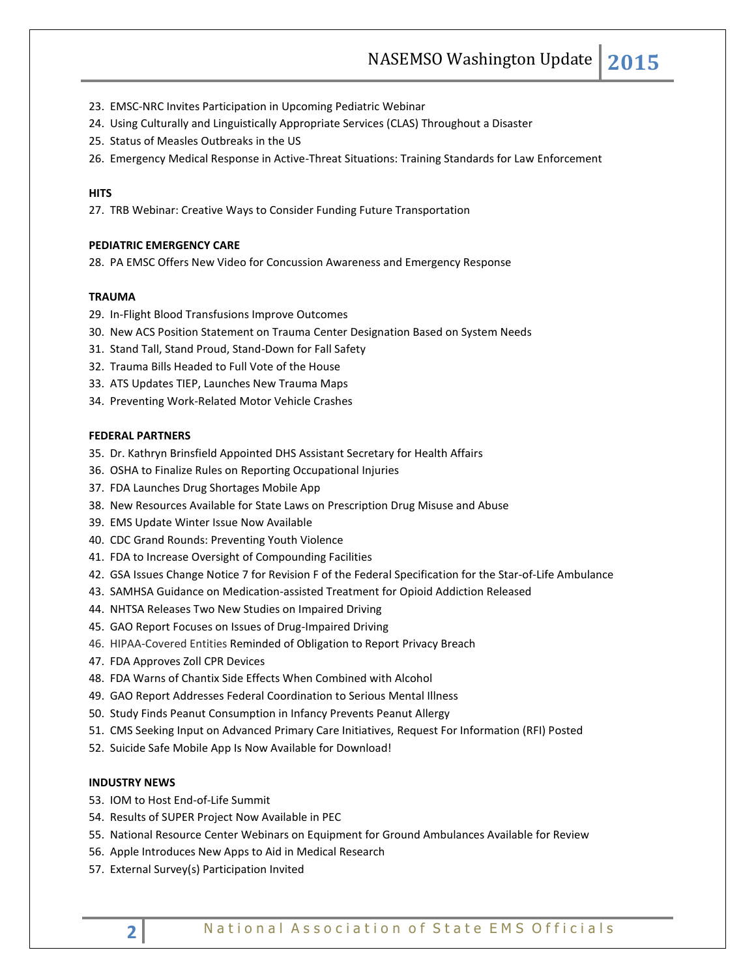- 23. EMSC-NRC Invites Participation in Upcoming Pediatric Webinar
- 24. Using Culturally and Linguistically Appropriate Services (CLAS) Throughout a Disaster
- 25. Status of Measles Outbreaks in the US
- 26. Emergency Medical Response in Active-Threat Situations: Training Standards for Law Enforcement

#### **HITS**

27. TRB Webinar: Creative Ways to Consider Funding Future Transportation

# **PEDIATRIC EMERGENCY CARE**

28. PA EMSC Offers New Video for Concussion Awareness and Emergency Response

#### **TRAUMA**

- 29. In-Flight Blood Transfusions Improve Outcomes
- 30. New ACS Position Statement on Trauma Center Designation Based on System Needs
- 31. Stand Tall, Stand Proud, Stand-Down for Fall Safety
- 32. Trauma Bills Headed to Full Vote of the House
- 33. ATS Updates TIEP, Launches New Trauma Maps
- 34. Preventing Work-Related Motor Vehicle Crashes

#### **FEDERAL PARTNERS**

- 35. Dr. Kathryn Brinsfield Appointed DHS Assistant Secretary for Health Affairs
- 36. OSHA to Finalize Rules on Reporting Occupational Injuries
- 37. FDA Launches Drug Shortages Mobile App
- 38. New Resources Available for State Laws on Prescription Drug Misuse and Abuse
- 39. EMS Update Winter Issue Now Available
- 40. CDC Grand Rounds: Preventing Youth Violence
- 41. FDA to Increase Oversight of Compounding Facilities
- 42. GSA Issues Change Notice 7 for Revision F of the Federal Specification for the Star-of-Life Ambulance
- 43. SAMHSA Guidance on Medication-assisted Treatment for Opioid Addiction Released
- 44. NHTSA Releases Two New Studies on Impaired Driving
- 45. GAO Report Focuses on Issues of Drug-Impaired Driving
- 46. HIPAA-Covered Entities Reminded of Obligation to Report Privacy Breach
- 47. FDA Approves Zoll CPR Devices
- 48. FDA Warns of Chantix Side Effects When Combined with Alcohol
- 49. GAO Report Addresses Federal Coordination to Serious Mental Illness
- 50. Study Finds Peanut Consumption in Infancy Prevents Peanut Allergy
- 51. CMS Seeking Input on Advanced Primary Care Initiatives, Request For Information (RFI) Posted
- 52. Suicide Safe Mobile App Is Now Available for Download!

## **INDUSTRY NEWS**

- 53. IOM to Host End-of-Life Summit
- 54. Results of SUPER Project Now Available in PEC
- 55. National Resource Center Webinars on Equipment for Ground Ambulances Available for Review
- 56. Apple Introduces New Apps to Aid in Medical Research
- 57. External Survey(s) Participation Invited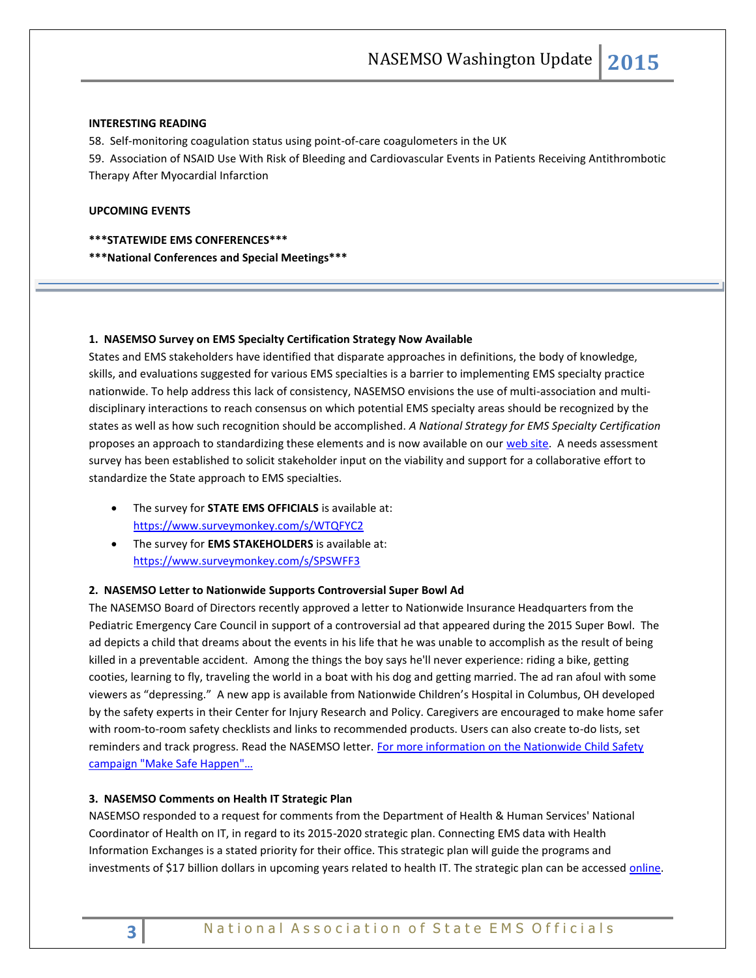#### **INTERESTING READING**

58. Self-monitoring coagulation status using point-of-care coagulometers in the UK

59. Association of NSAID Use With Risk of Bleeding and Cardiovascular Events in Patients Receiving Antithrombotic Therapy After Myocardial Infarction

# **UPCOMING EVENTS**

**\*\*\*STATEWIDE EMS CONFERENCES\*\*\***

**\*\*\*National Conferences and Special Meetings\*\*\***

#### **1. NASEMSO Survey on EMS Specialty Certification Strategy Now Available**

States and EMS stakeholders have identified that disparate approaches in definitions, the body of knowledge, skills, and evaluations suggested for various EMS specialties is a barrier to implementing EMS specialty practice nationwide. To help address this lack of consistency, NASEMSO envisions the use of multi-association and multidisciplinary interactions to reach consensus on which potential EMS specialty areas should be recognized by the states as well as how such recognition should be accomplished. *A National Strategy for EMS Specialty Certification* proposes an approach to standardizing these elements and is now available on our [web site.](http://www.nasemso.org/Projects/EMSEducation/EMS-Specialty-Certification.asp) A needs assessment survey has been established to solicit stakeholder input on the viability and support for a collaborative effort to standardize the State approach to EMS specialties.

- The survey for **STATE EMS OFFICIALS** is available at[:](https://www.surveymonkey.com/s/WTQFYC2) <https://www.surveymonkey.com/s/WTQFYC2>
- The survey for **EMS STAKEHOLDERS** is available at: <https://www.surveymonkey.com/s/SPSWFF3>

#### **2. NASEMSO Letter to Nationwide Supports Controversial Super Bowl Ad**

The NASEMSO Board of Directors recently approved a letter to Nationwide Insurance Headquarters from the Pediatric Emergency Care Council in support of a controversial ad that appeared during the 2015 Super Bowl. The ad depicts a child that dreams about the events in his life that he was unable to accomplish as the result of being killed in a preventable accident. Among the things the boy says he'll never experience: riding a bike, getting cooties, learning to fly, traveling the world in a boat with his dog and getting married. The ad ran afoul with some viewers as "depressing." A new app is available from Nationwide Children's Hospital in Columbus, OH developed by the safety experts in their Center for Injury Research and Policy. Caregivers are encouraged to make home safer with room-to-room safety checklists and links to recommended products. Users can also create to-do lists, set reminders and track progress. Read the NASEMSO letter. For more information on the Nationwide Child Safety [campaign "Make Safe Happen"…](http://makesafehappen.com/)

## **3. NASEMSO Comments on Health IT Strategic Plan**

NASEMSO responded to a request for comments from the Department of Health & Human Services' National Coordinator of Health on IT, in regard to its 2015-2020 strategic plan. Connecting EMS data with Health Information Exchanges is a stated priority for their office. This strategic plan will guide the programs and investments of \$17 billion dollars in upcoming years related to health IT. The strategic plan can be accessed online.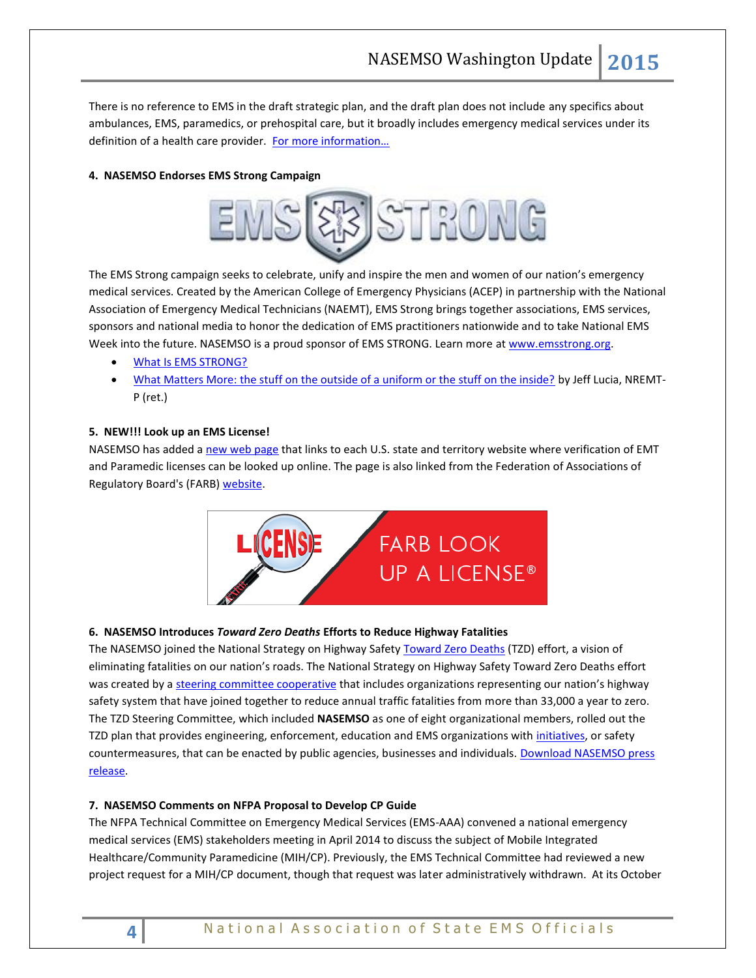There is no reference to EMS in the draft strategic plan, and the draft plan does not include any specifics about ambulances, EMS, paramedics, or prehospital care, but it broadly includes emergency medical services under its definition of a health care provider. For more information...

# **4. NASEMSO Endorses EMS Strong Campaign**



The EMS Strong campaign seeks to celebrate, unify and inspire the men and women of our nation's emergency medical services. Created by the American College of Emergency Physicians (ACEP) in partnership with the National Association of Emergency Medical Technicians (NAEMT), EMS Strong brings together associations, EMS services, sponsors and national media to honor the dedication of EMS practitioners nationwide and to take National EMS Week into the future. NASEMSO is a proud sponsor of EMS STRONG. Learn more at [www.emsstrong.org.](http://www.emsstrong.org/)

- [What Is EMS STRONG?](http://www.emsstrong.org/what-is-emsstrong/)
- [What Matters More: the stuff on the outside of a uniform or the stuff on the inside?](https://www.nasemso.org/documents/What-Matters-More-Jeff-Lucia-23Feb2015.pdf) by Jeff Lucia, NREMT-P (ret.)

## **5. NEW!!! Look up an EMS License!**

NASEMSO has added a [new web page](https://www.nasemso.org/EMT-Paramedic-License-Verification.asp) that links to each U.S. state and territory website where verification of EMT and Paramedic licenses can be looked up online. The page is also linked from the Federation of Associations of Regulatory Board's (FARB[\) website.](http://www.imis100us2.com/farb/lookupalicense)



## **6. NASEMSO Introduces** *Toward Zero Deaths* **Efforts to Reduce Highway Fatalities**

The NASEMSO joined the National Strategy on Highway Safety [Toward Zero Deaths](http://www.towardzerodeaths.org/home.php) (TZD) effort, a vision of eliminating fatalities on our nation's roads. The National Strategy on Highway Safety Toward Zero Deaths effort was created by [a steering committee cooperative](http://www.towardzerodeaths.org/partners_tzd_steering_committee.php) that includes organizations representing our nation's highway safety system that have joined together to reduce annual traffic fatalities from more than 33,000 a year to zero. The TZD Steering Committee, which included **NASEMSO** as one of eight organizational members, rolled out the TZD plan that provides engineering, enforcement, education and EMS organizations with [initiatives,](http://www.towardzerodeaths.org/marketing.php) or safety countermeasures, that can be enacted by public agencies, businesses and individuals. Download NASEMSO press [release.](http://www.nasemso.org/documents/NASEMSO-TZD-Press-Release-10Mar2015.pdf)

## **7. NASEMSO Comments on NFPA Proposal to Develop CP Guide**

The NFPA Technical Committee on Emergency Medical Services (EMS-AAA) convened a national emergency medical services (EMS) stakeholders meeting in April 2014 to discuss the subject of Mobile Integrated Healthcare/Community Paramedicine (MIH/CP). Previously, the EMS Technical Committee had reviewed a new project request for a MIH/CP document, though that request was later administratively withdrawn. At its October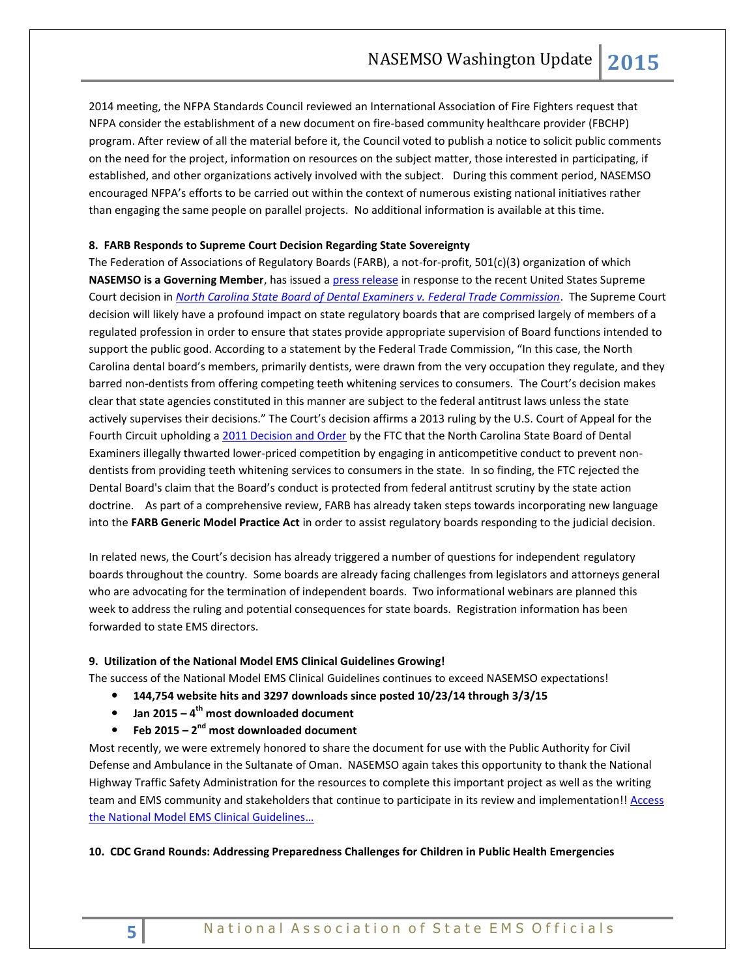2014 meeting, the NFPA Standards Council reviewed an International Association of Fire Fighters request that NFPA consider the establishment of a new document on fire-based community healthcare provider (FBCHP) program. After review of all the material before it, the Council voted to publish a notice to solicit public comments on the need for the project, information on resources on the subject matter, those interested in participating, if established, and other organizations actively involved with the subject. During this comment period, NASEMSO encouraged NFPA's efforts to be carried out within the context of numerous existing national initiatives rather than engaging the same people on parallel projects. No additional information is available at this time.

## **8. FARB Responds to Supreme Court Decision Regarding State Sovereignty**

The Federation of Associations of Regulatory Boards (FARB), a not-for-profit, 501(c)(3) organization of which **NASEMSO is a Governing Member**, has issued [a press release](http://www.imis100us2.com/farb/SharedContent/Resource_pages/Press_Release_FTC.aspx) in response to the recent United States Supreme Court decision in *[North Carolina State Board of Dental Examiners v. Federal Trade Commission](http://www.supremecourt.gov/opinions/14pdf/13-534_19m2.pdf)*. The Supreme Court decision will likely have a profound impact on state regulatory boards that are comprised largely of members of a regulated profession in order to ensure that states provide appropriate supervision of Board functions intended to support the public good. According to a statement by the Federal Trade Commission, "In this case, the North Carolina dental board's members, primarily dentists, were drawn from the very occupation they regulate, and they barred non-dentists from offering competing teeth whitening services to consumers. The Court's decision makes clear that state agencies constituted in this manner are subject to the federal antitrust laws unless the state actively supervises their decisions." The Court's decision affirms a 2013 ruling by the U.S. Court of Appeal for the Fourth Circuit upholding a [2011 Decision and Order](https://www.ftc.gov/news-events/press-releases/2011/12/ftc-concludes-north-carolina-dental-board-illegally-stifled) by the FTC that the North Carolina State Board of Dental Examiners illegally thwarted lower-priced competition by engaging in anticompetitive conduct to prevent nondentists from providing teeth whitening services to consumers in the state. In so finding, the FTC rejected the Dental Board's claim that the Board's conduct is protected from federal antitrust scrutiny by the state action doctrine. As part of a comprehensive review, FARB has already taken steps towards incorporating new language into the **FARB Generic Model Practice Act** in order to assist regulatory boards responding to the judicial decision.

In related news, the Court's decision has already triggered a number of questions for independent regulatory boards throughout the country. Some boards are already facing challenges from legislators and attorneys general who are advocating for the termination of independent boards. Two informational webinars are planned this week to address the ruling and potential consequences for state boards. Registration information has been forwarded to state EMS directors.

#### **9. Utilization of the National Model EMS Clinical Guidelines Growing!**

The success of the National Model EMS Clinical Guidelines continues to exceed NASEMSO expectations!

- **144,754 website hits and 3297 downloads since posted 10/23/14 through 3/3/15**
- **Jan 2015 – 4 th most downloaded document**
- **•** Feb 2015 2<sup>nd</sup> most downloaded document

Most recently, we were extremely honored to share the document for use with the Public Authority for Civil Defense and Ambulance in the Sultanate of Oman. NASEMSO again takes this opportunity to thank the National Highway Traffic Safety Administration for the resources to complete this important project as well as the writing team and EMS community and stakeholders that continue to participate in its review and implementation!! Access [the National Model EMS Clinical](http://www.nasemso.org/Projects/ModelEMSClinicalGuidelines/index.asp) Guidelines…

#### **10. CDC Grand Rounds: Addressing Preparedness Challenges for Children in Public Health Emergencies**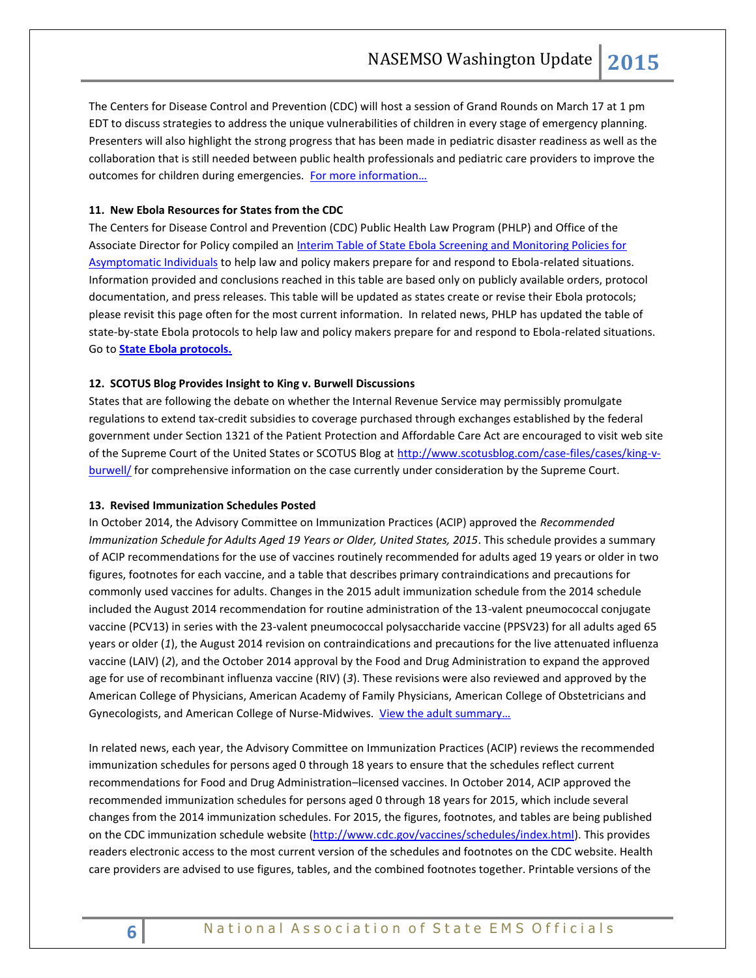The Centers for Disease Control and Prevention (CDC) will host a session of Grand Rounds on March 17 at 1 pm EDT to discuss strategies to address the unique vulnerabilities of children in every stage of emergency planning. Presenters will also highlight the strong progress that has been made in pediatric disaster readiness as well as the collaboration that is still needed between public health professionals and pediatric care providers to improve the outcomes for children during emergencies. [For more information…](http://www.cdc.gov/cdcgrandrounds/archives/2015/march2015.htm)

# **11. New Ebola Resources for States from the CDC**

The Centers for Disease Control and Prevention (CDC) Public Health Law Program (PHLP) and Office of the Associate Director for Policy compiled a[n Interim Table of State Ebola Screening and Monitoring Policies for](http://www.cdc.gov/phlp/docs/interim-ebolascreening.pdf.pdf)  [Asymptomatic Individuals](http://www.cdc.gov/phlp/docs/interim-ebolascreening.pdf.pdf) to help law and policy makers prepare for and respond to Ebola-related situations. Information provided and conclusions reached in this table are based only on publicly available orders, protocol documentation, and press releases. This table will be updated as states create or revise their Ebola protocols; please revisit this page often for the most current information. In related news, PHLP has updated the table of state-by-state Ebola protocols to help law and policy makers prepare for and respond to Ebola-related situations. Go to **[State Ebola protocols.](http://www.cdc.gov/phlp/publications/topic/ebola.html)**

## **12. SCOTUS Blog Provides Insight to King v. Burwell Discussions**

States that are following the debate on whether the Internal Revenue Service may permissibly promulgate regulations to extend tax-credit subsidies to coverage purchased through exchanges established by the federal government under Section 1321 of the Patient Protection and Affordable Care Act are encouraged to visit web site of the Supreme Court of the United States or SCOTUS Blog a[t http://www.scotusblog.com/case-files/cases/king-v](http://www.scotusblog.com/case-files/cases/king-v-burwell/)[burwell/](http://www.scotusblog.com/case-files/cases/king-v-burwell/) for comprehensive information on the case currently under consideration by the Supreme Court.

#### **13. Revised Immunization Schedules Posted**

In October 2014, the Advisory Committee on Immunization Practices (ACIP) approved the *Recommended Immunization Schedule for Adults Aged 19 Years or Older, United States, 2015*. This schedule provides a summary of ACIP recommendations for the use of vaccines routinely recommended for adults aged 19 years or older in two figures, footnotes for each vaccine, and a table that describes primary contraindications and precautions for commonly used vaccines for adults. Changes in the 2015 adult immunization schedule from the 2014 schedule included the August 2014 recommendation for routine administration of the 13-valent pneumococcal conjugate vaccine (PCV13) in series with the 23-valent pneumococcal polysaccharide vaccine (PPSV23) for all adults aged 65 years or older (*1*), the August 2014 revision on contraindications and precautions for the live attenuated influenza vaccine (LAIV) (*2*), and the October 2014 approval by the Food and Drug Administration to expand the approved age for use of recombinant influenza vaccine (RIV) (*3*). These revisions were also reviewed and approved by the American College of Physicians, American Academy of Family Physicians, American College of Obstetricians and Gynecologists, and American College of Nurse-Midwives. [View the adult summary…](http://www.cdc.gov/mmwr/preview/mmwrhtml/mm6404a4.htm?s_cid=mm6404a4_e)

In related news, each year, the Advisory Committee on Immunization Practices (ACIP) reviews the recommended immunization schedules for persons aged 0 through 18 years to ensure that the schedules reflect current recommendations for Food and Drug Administration–licensed vaccines. In October 2014, ACIP approved the recommended immunization schedules for persons aged 0 through 18 years for 2015, which include several changes from the 2014 immunization schedules. For 2015, the figures, footnotes, and tables are being published on the CDC immunization schedule website [\(http://www.cdc.gov/vaccines/schedules/index.html\)](http://www.cdc.gov/vaccines/schedules/index.html). This provides readers electronic access to the most current version of the schedules and footnotes on the CDC website. Health care providers are advised to use figures, tables, and the combined footnotes together. Printable versions of the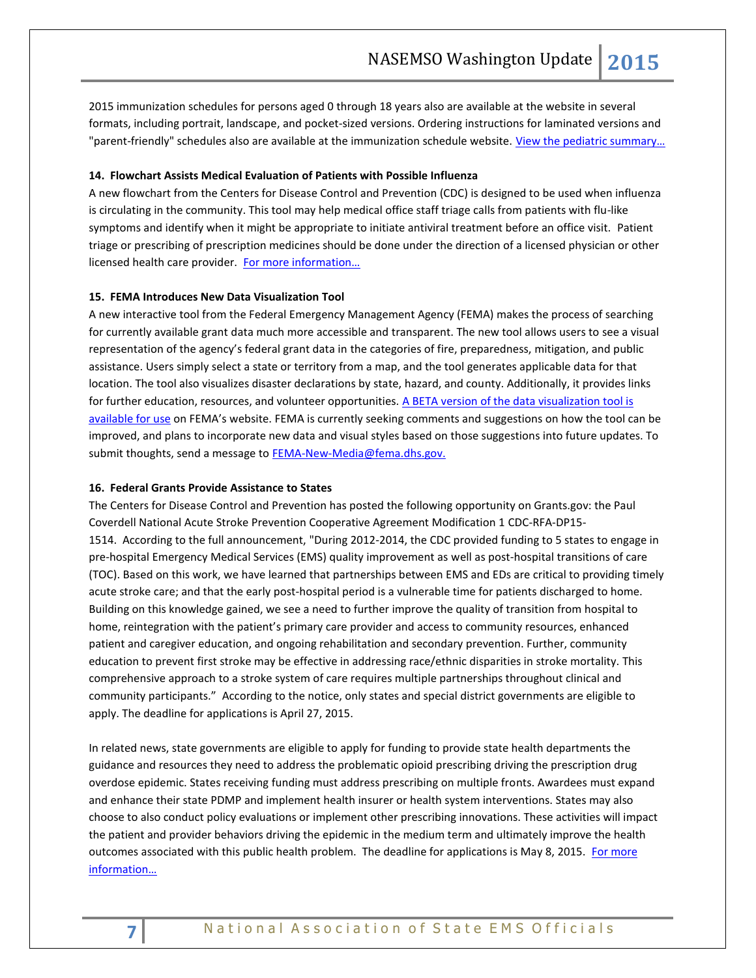2015 immunization schedules for persons aged 0 through 18 years also are available at the website in several formats, including portrait, landscape, and pocket-sized versions. Ordering instructions for laminated versions and "parent-friendly" schedules also are available at the immunization schedule website. View the pediatric summary...

#### **14. Flowchart Assists Medical Evaluation of Patients with Possible Influenza**

A new flowchart from the Centers for Disease Control and Prevention (CDC) is designed to be used when influenza is circulating in the community. This tool may help medical office staff triage calls from patients with flu-like symptoms and identify when it might be appropriate to initiate antiviral treatment before an office visit. Patient triage or prescribing of prescription medicines should be done under the direction of a licensed physician or other licensed health care provider. For more information...

## **15. FEMA Introduces New Data Visualization Tool**

A new interactive tool from the Federal Emergency Management Agency (FEMA) makes the process of searching for currently available grant data much more accessible and transparent. The new tool allows users to see a visual representation of the agency's federal grant data in the categories of fire, preparedness, mitigation, and public assistance. Users simply select a state or territory from a map, and the tool generates applicable data for that location. The tool also visualizes disaster declarations by state, hazard, and county. Additionally, it provides links for further education, resources, and volunteer opportunities. A BETA version of the data visualization tool is [available for use](http://www.fema.gov/data-visualization) on FEMA's website. FEMA is currently seeking comments and suggestions on how the tool can be improved, and plans to incorporate new data and visual styles based on those suggestions into future updates. To submit thoughts, send a message t[o FEMA-New-Media@fema.dhs.gov.](http://nacchopreparedness.org/FEMA-New-Media@fema.dhs.gov)

#### **16. Federal Grants Provide Assistance to States**

The Centers for Disease Control and Prevention has posted the following opportunity on Grants.gov: the Paul Coverdell National Acute Stroke Prevention Cooperative Agreement Modification 1 CDC-RFA-DP15- 1514. According to the full announcement, "During 2012-2014, the CDC provided funding to 5 states to engage in pre-hospital Emergency Medical Services (EMS) quality improvement as well as post-hospital transitions of care (TOC). Based on this work, we have learned that partnerships between EMS and EDs are critical to providing timely acute stroke care; and that the early post-hospital period is a vulnerable time for patients discharged to home. Building on this knowledge gained, we see a need to further improve the quality of transition from hospital to home, reintegration with the patient's primary care provider and access to community resources, enhanced patient and caregiver education, and ongoing rehabilitation and secondary prevention. Further, community education to prevent first stroke may be effective in addressing race/ethnic disparities in stroke mortality. This comprehensive approach to a stroke system of care requires multiple partnerships throughout clinical and community participants." According to the notice, only states and special district governments are eligible to apply. The deadline for applications is April 27, 2015.

In related news, state governments are eligible to apply for funding to provide state health departments the guidance and resources they need to address the problematic opioid prescribing driving the prescription drug overdose epidemic. States receiving funding must address prescribing on multiple fronts. Awardees must expand and enhance their state PDMP and implement health insurer or health system interventions. States may also choose to also conduct policy evaluations or implement other prescribing innovations. These activities will impact the patient and provider behaviors driving the epidemic in the medium term and ultimately improve the health outcomes associated with this public health problem. The deadline for applications is May 8, 2015. For more [information…](http://www.grants.gov/web/grants/view-opportunity.html?oppId=274995)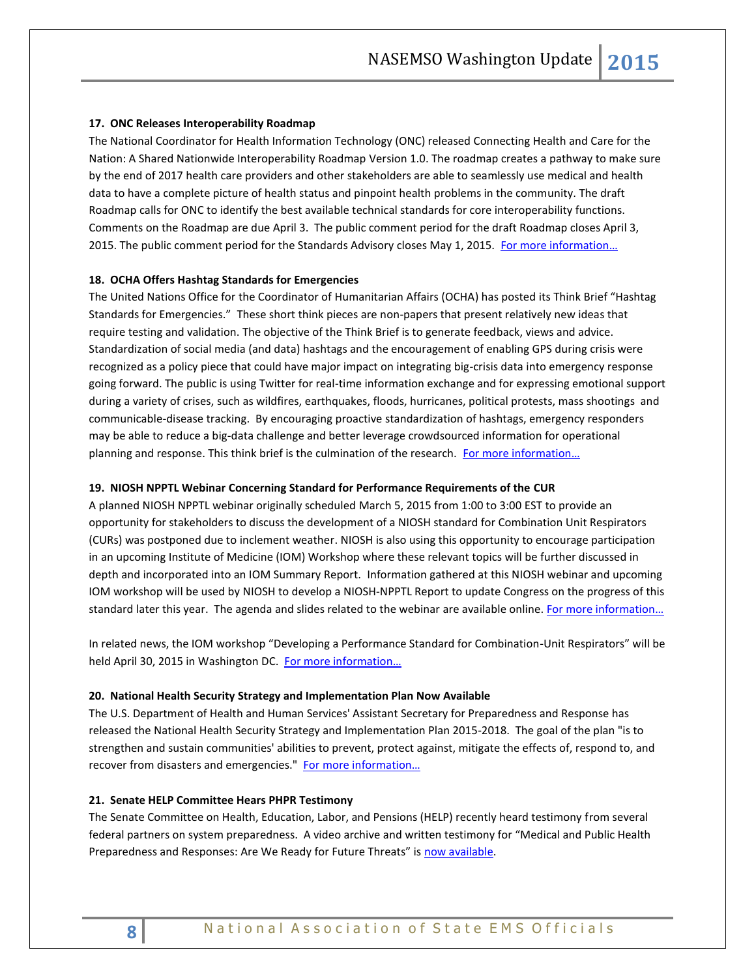# **17. ONC Releases Interoperability Roadmap**

The National Coordinator for Health Information Technology (ONC) released Connecting Health and Care for the Nation: A Shared Nationwide Interoperability Roadmap Version 1.0. The roadmap creates a pathway to make sure by the end of 2017 health care providers and other stakeholders are able to seamlessly use medical and health data to have a complete picture of health status and pinpoint health problems in the community. The draft Roadmap calls for ONC to identify the best available technical standards for core interoperability functions. Comments on the Roadmap are due April 3. The public comment period for the draft Roadmap closes April 3, 2015. The public comment period for the Standards Advisory closes May 1, 2015. For more information...

# **18. OCHA Offers Hashtag Standards for Emergencies**

The United Nations Office for the Coordinator of Humanitarian Affairs (OCHA) has posted its Think Brief "Hashtag Standards for Emergencies." These short think pieces are non-papers that present relatively new ideas that require testing and validation. The objective of the Think Brief is to generate feedback, views and advice. Standardization of social media (and data) hashtags and the encouragement of enabling GPS during crisis were recognized as a policy piece that could have major impact on integrating big-crisis data into emergency response going forward. The public is using Twitter for real-time information exchange and for expressing emotional support during a variety of crises, such as wildfires, earthquakes, floods, hurricanes, political protests, mass shootings and communicable-disease tracking. By encouraging proactive standardization of hashtags, emergency responders may be able to reduce a big-data challenge and better leverage crowdsourced information for operational planning and response. This think brief is the culmination of the research. For more information...

#### **19. NIOSH NPPTL Webinar Concerning Standard for Performance Requirements of the CUR**

A planned NIOSH NPPTL webinar originally scheduled March 5, 2015 from 1:00 to 3:00 EST to provide an opportunity for stakeholders to discuss the development of a NIOSH standard for Combination Unit Respirators (CURs) was postponed due to inclement weather. NIOSH is also using this opportunity to encourage participation in an upcoming Institute of Medicine (IOM) Workshop where these relevant topics will be further discussed in depth and incorporated into an IOM Summary Report. Information gathered at this NIOSH webinar and upcoming IOM workshop will be used by NIOSH to develop a NIOSH-NPPTL Report to update Congress on the progress of this standard later this year. The agenda and slides related to the webinar are available online. For more information...

In related news, the IOM workshop "Developing a Performance Standard for Combination-Unit Respirators" will be held April 30, 2015 in Washington DC. For more information...

#### **20. National Health Security Strategy and Implementation Plan Now Available**

The U.S. Department of Health and Human Services' Assistant Secretary for Preparedness and Response has released the National Health Security Strategy and Implementation Plan 2015-2018. The goal of the plan "is to strengthen and sustain communities' abilities to prevent, protect against, mitigate the effects of, respond to, and recover from disasters and emergencies." [For more information…](http://www.phe.gov/Preparedness/planning/authority/nhss/Pages/default.aspx)

#### **21. Senate HELP Committee Hears PHPR Testimony**

The Senate Committee on Health, Education, Labor, and Pensions (HELP) recently heard testimony from several federal partners on system preparedness. A video archive and written testimony for "Medical and Public Health Preparedness and Responses: Are We Ready for Future Threats" is [now available.](http://www.help.senate.gov/hearings/hearing/?id=33f965bc-5056-a032-5277-a19b4b9ada00)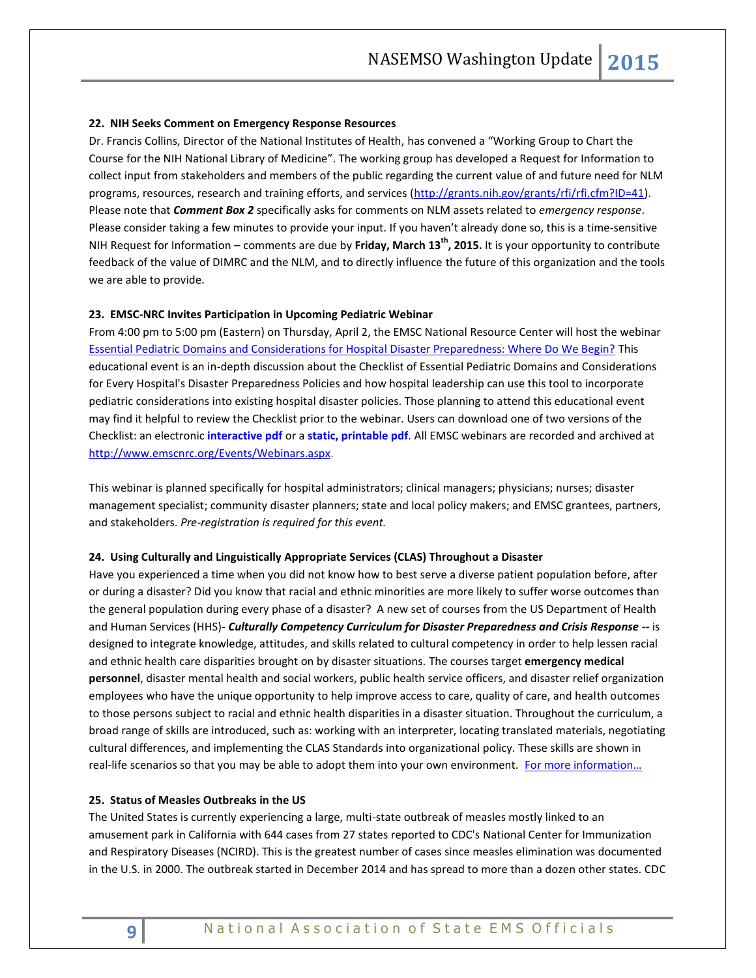#### **22. NIH Seeks Comment on Emergency Response Resources**

Dr. Francis Collins, Director of the National Institutes of Health, has convened a "Working Group to Chart the Course for the NIH National Library of Medicine". The working group has developed a Request for Information to collect input from stakeholders and members of the public regarding the current value of and future need for NLM programs, resources, research and training efforts, and services [\(http://grants.nih.gov/grants/rfi/rfi.cfm?ID=41\)](http://grants.nih.gov/grants/rfi/rfi.cfm?ID=41). Please note that *Comment Box 2* specifically asks for comments on NLM assets related to *emergency response*. Please consider taking a few minutes to provide your input. If you haven't already done so, this is a time-sensitive NIH Request for Information – comments are due by **Friday, March 13th, 2015.** It is your opportunity to contribute feedback of the value of DIMRC and the NLM, and to directly influence the future of this organization and the tools we are able to provide.

#### **23. EMSC-NRC Invites Participation in Upcoming Pediatric Webinar**

From 4:00 pm to 5:00 pm (Eastern) on Thursday, April 2, the EMSC National Resource Center will host the webinar [Essential Pediatric Domains and Considerations for Hospital Disaster Preparedness: Where Do We Begin?](https://emscnrc.adobeconnect.com/pedsdisaster/event/registration.html) This educational event is an in-depth discussion about the Checklist of Essential Pediatric Domains and Considerations for Every Hospital's Disaster Preparedness Policies and how hospital leadership can use this tool to incorporate pediatric considerations into existing hospital disaster policies. Those planning to attend this educational event may find it helpful to review the Checklist prior to the webinar. Users can download one of two versions of the Checklist: an electronic **[interactive pdf](http://www.emscnrc.org/files/PDF/EMSC_Resources/Checklist_Ped_Domains/Checklist_Hospital_Interactive.zip)** or a **[static, printable pdf](http://www.emscnrc.org/files/PDF/EMSC_Resources/Checklist_HospitalDisasterPrepare.pdf)**. All EMSC webinars are recorded and archived at [http://www.emscnrc.org/Events/Webinars.aspx.](http://www.emscnrc.org/Events/Webinars.aspx)

This webinar is planned specifically for hospital administrators; clinical managers; physicians; nurses; disaster management specialist; community disaster planners; state and local policy makers; and EMSC grantees, partners, and stakeholders. *Pre-registration is required for this event.* 

#### **24. Using Culturally and Linguistically Appropriate Services (CLAS) Throughout a Disaster**

Have you experienced a time when you did not know how to best serve a diverse patient population before, after or during a disaster? Did you know that racial and ethnic minorities are more likely to suffer worse outcomes than the general population during every phase of a disaster? A new set of courses from the US Department of Health and Human Services (HHS)- *Culturally Competency Curriculum for Disaster Preparedness and Crisis Response* **--** is designed to integrate knowledge, attitudes, and skills related to cultural competency in order to help lessen racial and ethnic health care disparities brought on by disaster situations. The courses target **emergency medical personnel**, disaster mental health and social workers, public health service officers, and disaster relief organization employees who have the unique opportunity to help improve access to care, quality of care, and health outcomes to those persons subject to racial and ethnic health disparities in a disaster situation. Throughout the curriculum, a broad range of skills are introduced, such as: working with an interpreter, locating translated materials, negotiating cultural differences, and implementing the CLAS Standards into organizational policy. These skills are shown in real-life scenarios so that you may be able to adopt them into your own environment. For more information...

#### **25. Status of Measles Outbreaks in the US**

The United States is currently experiencing a large, multi-state outbreak of measles mostly linked to an amusement park in California with 644 cases from 27 states reported to CDC's National Center for Immunization and Respiratory Diseases (NCIRD). This is the greatest number of cases since measles elimination was documented in the U.S. in 2000. The outbreak started in December 2014 and has spread to more than a dozen other states. CDC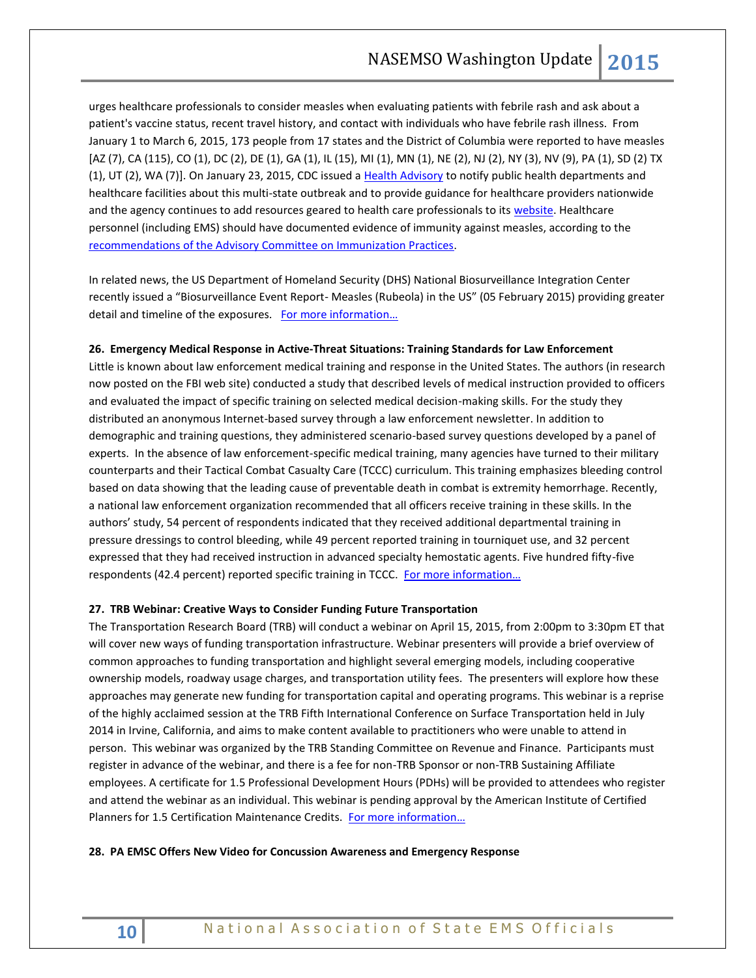urges healthcare professionals to consider measles when evaluating patients with febrile rash and ask about a patient's vaccine status, recent travel history, and contact with individuals who have febrile rash illness. From January 1 to March 6, 2015, 173 people from 17 states and the District of Columbia were reported to have measles [AZ (7), CA (115), CO (1), DC (2), DE (1), GA (1), IL (15), MI (1), MN (1), NE (2), NJ (2), NY (3), NV (9), PA (1), SD (2) TX (1), UT (2), WA (7)]. On January 23, 2015, CDC issued a [Health Advisory](http://emergency.cdc.gov/han/han00376.asp) to notify public health departments and healthcare facilities about this multi-state outbreak and to provide guidance for healthcare providers nationwide and the agency continues to add resources geared to health care professionals to its [website.](http://www.cdc.gov/measles/hcp/index.html) Healthcare personnel (including EMS) should have documented evidence of immunity against measles, according to the [recommendations of the Advisory Committee on Immunization Practices.](http://www.cdc.gov/mmwr/pdf/rr/rr6007.pdf)

In related news, the US Department of Homeland Security (DHS) National Biosurveillance Integration Center recently issued a "Biosurveillance Event Report- Measles (Rubeola) in the US" (05 February 2015) providing greater detail and timeline of the exposures. [For more information…](http://www.nasemso.org/Projects/DomesticPreparedness/)

#### **26. Emergency Medical Response in Active-Threat Situations: Training Standards for Law Enforcement**

Little is known about law enforcement medical training and response in the United States. The authors (in research now posted on the FBI web site) conducted a study that described levels of medical instruction provided to officers and evaluated the impact of specific training on selected medical decision-making skills. For the study they distributed an anonymous Internet-based survey through a law enforcement newsletter. In addition to demographic and training questions, they administered scenario-based survey questions developed by a panel of experts. In the absence of law enforcement-specific medical training, many agencies have turned to their military counterparts and their Tactical Combat Casualty Care (TCCC) curriculum. This training emphasizes bleeding control based on data showing that the leading cause of preventable death in combat is extremity hemorrhage. Recently, a national law enforcement organization recommended that all officers receive training in these skills. In the authors' study, 54 percent of respondents indicated that they received additional departmental training in pressure dressings to control bleeding, while 49 percent reported training in tourniquet use, and 32 percent expressed that they had received instruction in advanced specialty hemostatic agents. Five hundred fifty-five respondents (42.4 percent) reported specific training in TCCC. For more information...

#### **27. TRB Webinar: Creative Ways to Consider Funding Future Transportation**

The Transportation Research Board (TRB) will conduct a webinar on April 15, 2015, from 2:00pm to 3:30pm ET that will cover new ways of funding transportation infrastructure. Webinar presenters will provide a brief overview of common approaches to funding transportation and highlight several emerging models, including cooperative ownership models, roadway usage charges, and transportation utility fees. The presenters will explore how these approaches may generate new funding for transportation capital and operating programs. This webinar is a reprise of the highly acclaimed session at the TRB Fifth International Conference on Surface Transportation held in July 2014 in Irvine, California, and aims to make content available to practitioners who were unable to attend in person. This webinar was organized by the TRB Standing Committee on Revenue and Finance. Participants must register in advance of the webinar, and there is a fee for non-TRB Sponsor or non-TRB Sustaining Affiliate employees. A certificate for 1.5 Professional Development Hours (PDHs) will be provided to attendees who register and attend the webinar as an individual. This webinar is pending approval by the American Institute of Certified Planners for 1.5 Certification Maintenance Credits. [For more information…](http://www.trb.org/Main/Blurbs/172141.aspx)

# **28. PA EMSC Offers New Video for Concussion Awareness and Emergency Response**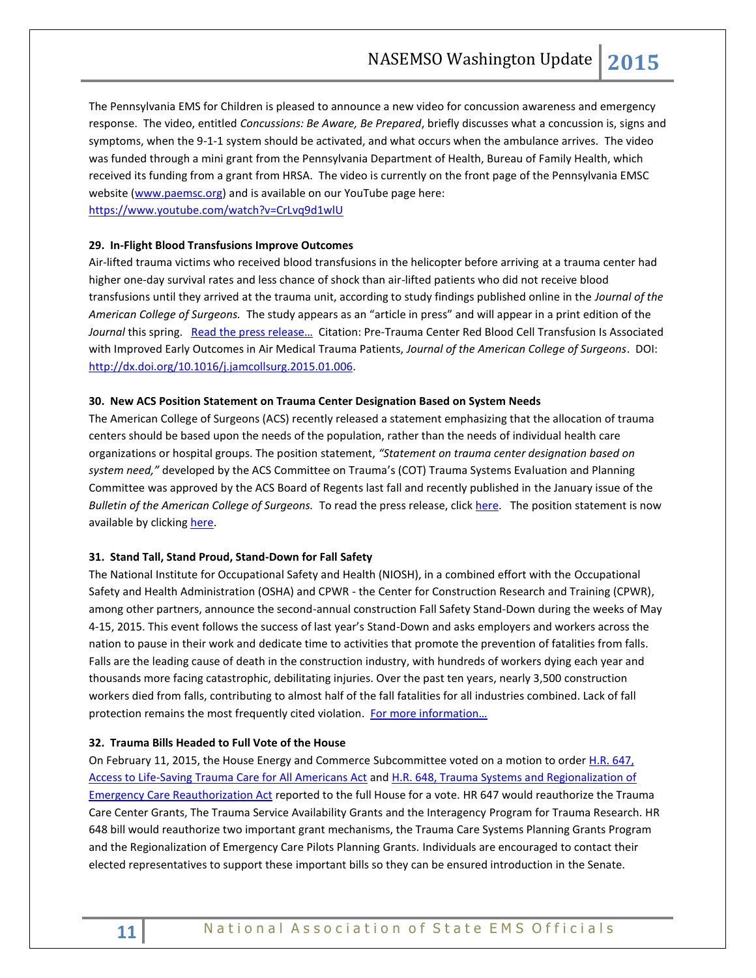The Pennsylvania EMS for Children is pleased to announce a new video for concussion awareness and emergency response. The video, entitled *Concussions: Be Aware, Be Prepared*, briefly discusses what a concussion is, signs and symptoms, when the 9-1-1 system should be activated, and what occurs when the ambulance arrives. The video was funded through a mini grant from the Pennsylvania Department of Health, Bureau of Family Health, which received its funding from a grant from HRSA. The video is currently on the front page of the Pennsylvania EMSC website [\(www.paemsc.org\)](http://www.paemsc.org/) and is available on our YouTube page here: <https://www.youtube.com/watch?v=CrLvq9d1wlU>

## **29. In-Flight Blood Transfusions Improve Outcomes**

Air-lifted trauma victims who received blood transfusions in the helicopter before arriving at a trauma center had higher one-day survival rates and less chance of shock than air-lifted patients who did not receive blood transfusions until they arrived at the trauma unit, according to study findings published online in the *Journal of the American College of Surgeons.* The study appears as an "article in press" and will appear in a print edition of the Journal this spring. Read the press release... Citation: Pre-Trauma Center Red Blood Cell Transfusion Is Associated with Improved Early Outcomes in Air Medical Trauma Patients, *Journal of the American College of Surgeons*. DOI: [http://dx.doi.org/10.1016/j.jamcollsurg.2015.01.006.](http://dx.doi.org/10.1016/j.jamcollsurg.2015.01.006)

#### **30. New ACS Position Statement on Trauma Center Designation Based on System Needs**

The American College of Surgeons (ACS) recently released a statement emphasizing that the allocation of trauma centers should be based upon the needs of the population, rather than the needs of individual health care organizations or hospital groups. The position statement, *"Statement on trauma center designation based on system need,"* developed by the ACS Committee on Trauma's (COT) Trauma Systems Evaluation and Planning Committee was approved by the ACS Board of Regents last fall and recently published in the January issue of the *Bulletin of the American College of Surgeons.* To read the press release, click [here.](https://www.facs.org/media/press-releases/2015/trauma0206) The position statement is now available by clickin[g here.](http://bulletin.facs.org/2015/01/statement-on-trauma-center-designation-based-upon-system-need)

## **31. Stand Tall, Stand Proud, Stand-Down for Fall Safety**

The National Institute for Occupational Safety and Health (NIOSH), in a combined effort with the Occupational Safety and Health Administration (OSHA) and CPWR - the Center for Construction Research and Training (CPWR), among other partners, announce the second-annual construction Fall Safety Stand-Down during the weeks of May 4-15, 2015. This event follows the success of last year's Stand-Down and asks employers and workers across the nation to pause in their work and dedicate time to activities that promote the prevention of fatalities from falls. Falls are the leading cause of death in the construction industry, with hundreds of workers dying each year and thousands more facing catastrophic, debilitating injuries. Over the past ten years, nearly 3,500 construction workers died from falls, contributing to almost half of the fall fatalities for all industries combined. Lack of fall protection remains the most frequently cited violation. For more information...

## **32. Trauma Bills Headed to Full Vote of the House**

On February 11, 2015, the House Energy and Commerce Subcommittee voted on a motion to order H.R. 647, [Access to Life-Saving Trauma Care for All Americans Act](http://docs.house.gov/meetings/IF/IF00/20150211/102963/BILLS-114HR647ih.pdf) an[d H.R. 648, Trauma Systems and Regionalization of](http://docs.house.gov/meetings/IF/IF00/20150211/102963/BILLS-114HR648ih.pdf)  [Emergency Care Reauthorization Act](http://docs.house.gov/meetings/IF/IF00/20150211/102963/BILLS-114HR648ih.pdf) reported to the full House for a vote. HR 647 would reauthorize the Trauma Care Center Grants, The Trauma Service Availability Grants and the Interagency Program for Trauma Research. HR 648 bill would reauthorize two important grant mechanisms, the Trauma Care Systems Planning Grants Program and the Regionalization of Emergency Care Pilots Planning Grants. Individuals are encouraged to contact their elected representatives to support these important bills so they can be ensured introduction in the Senate.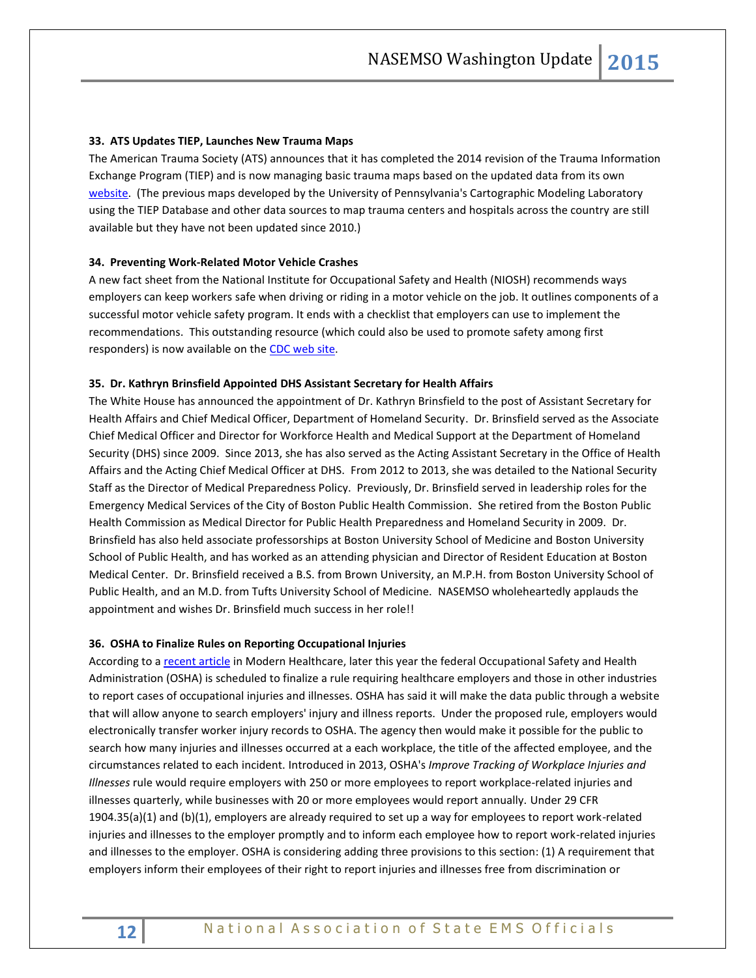## **33. ATS Updates TIEP, Launches New Trauma Maps**

The American Trauma Society (ATS) announces that it has completed the 2014 revision of the Trauma Information Exchange Program (TIEP) and is now managing basic trauma maps based on the updated data from its own [website.](http://www.amtrauma.org/?page=FindTraumaCenter) (The previous maps developed by the University of Pennsylvania's Cartographic Modeling Laboratory using the TIEP Database and other data sources to map trauma centers and hospitals across the country are still available but they have not been updated since 2010.)

# **34. Preventing Work-Related Motor Vehicle Crashes**

A new fact sheet from the National Institute for Occupational Safety and Health (NIOSH) recommends ways employers can keep workers safe when driving or riding in a motor vehicle on the job. It outlines components of a successful motor vehicle safety program. It ends with a checklist that employers can use to implement the recommendations. This outstanding resource (which could also be used to promote safety among first responders) is now available on th[e CDC web site.](http://www.cdc.gov/niosh/docs/2015-111/pdfs/2015-111.pdf)

#### **35. Dr. Kathryn Brinsfield Appointed DHS Assistant Secretary for Health Affairs**

The White House has announced the appointment of Dr. Kathryn Brinsfield to the post of Assistant Secretary for Health Affairs and Chief Medical Officer, Department of Homeland Security. Dr. Brinsfield served as the Associate Chief Medical Officer and Director for Workforce Health and Medical Support at the Department of Homeland Security (DHS) since 2009. Since 2013, she has also served as the Acting Assistant Secretary in the Office of Health Affairs and the Acting Chief Medical Officer at DHS. From 2012 to 2013, she was detailed to the National Security Staff as the Director of Medical Preparedness Policy. Previously, Dr. Brinsfield served in leadership roles for the Emergency Medical Services of the City of Boston Public Health Commission. She retired from the Boston Public Health Commission as Medical Director for Public Health Preparedness and Homeland Security in 2009. Dr. Brinsfield has also held associate professorships at Boston University School of Medicine and Boston University School of Public Health, and has worked as an attending physician and Director of Resident Education at Boston Medical Center. Dr. Brinsfield received a B.S. from Brown University, an M.P.H. from Boston University School of Public Health, and an M.D. from Tufts University School of Medicine. NASEMSO wholeheartedly applauds the appointment and wishes Dr. Brinsfield much success in her role!!

#### **36. OSHA to Finalize Rules on Reporting Occupational Injuries**

According to [a recent article](http://www.modernhealthcare.com/article/20150307/MAGAZINE/303079965) in Modern Healthcare, later this year the federal Occupational Safety and Health Administration (OSHA) is scheduled to finalize a rule requiring healthcare employers and those in other industries to report cases of occupational injuries and illnesses. OSHA has said it will make the data public through a website that will allow anyone to search employers' injury and illness reports. Under the proposed rule, employers would electronically transfer worker injury records to OSHA. The agency then would make it possible for the public to search how many injuries and illnesses occurred at a each workplace, the title of the affected employee, and the circumstances related to each incident. Introduced in 2013, OSHA's *Improve Tracking of Workplace Injuries and Illnesses* rule would require employers with 250 or more employees to report workplace-related injuries and illnesses quarterly, while businesses with 20 or more employees would report annually. Under 29 CFR 1904.35(a)(1) and (b)(1), employers are already required to set up a way for employees to report work-related injuries and illnesses to the employer promptly and to inform each employee how to report work-related injuries and illnesses to the employer. OSHA is considering adding three provisions to this section: (1) A requirement that employers inform their employees of their right to report injuries and illnesses free from discrimination or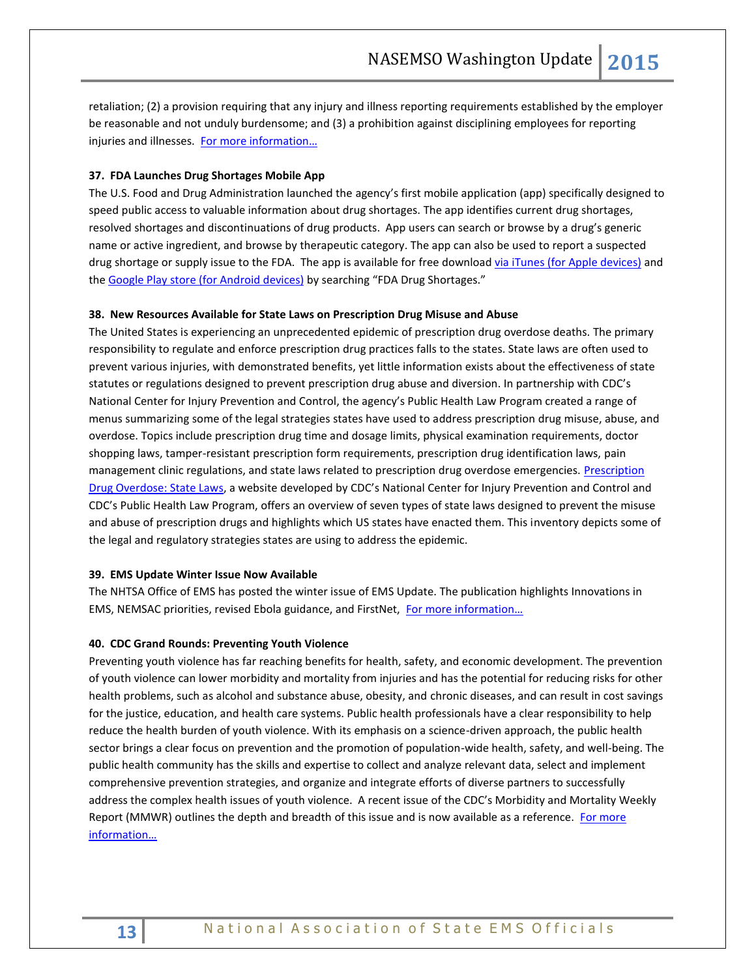retaliation; (2) a provision requiring that any injury and illness reporting requirements established by the employer be reasonable and not unduly burdensome; and (3) a prohibition against disciplining employees for reporting injuries and illnesses. For more information...

# **37. FDA Launches Drug Shortages Mobile App**

The U.S. Food and Drug Administration launched the agency's first mobile application (app) specifically designed to speed public access to valuable information about drug shortages. The app identifies current drug shortages, resolved shortages and discontinuations of drug products. App users can search or browse by a drug's generic name or active ingredient, and browse by therapeutic category. The app can also be used to report a suspected drug shortage or supply issue to the FDA. The app is available for free download [via iTunes \(for Apple devices\)](https://itunes.apple.com/WebObjects/MZStore.woa/wa/viewSoftware?id=944986401&mt=8) and the [Google Play store \(for Android devices\)](https://play.google.com/store/apps/details?id=gov.fda.drugshortages) by searching "FDA Drug Shortages."

# **38. New Resources Available for State Laws on Prescription Drug Misuse and Abuse**

The United States is experiencing an unprecedented epidemic of prescription drug overdose deaths. The primary responsibility to regulate and enforce prescription drug practices falls to the states. State laws are often used to prevent various injuries, with demonstrated benefits, yet little information exists about the effectiveness of state statutes or regulations designed to prevent prescription drug abuse and diversion. In partnership with CDC's National Center for Injury Prevention and Control, the agency's Public Health Law Program created a range of menus summarizing some of the legal strategies states have used to address prescription drug misuse, abuse, and overdose. Topics include prescription drug time and dosage limits, physical examination requirements, doctor shopping laws, tamper-resistant prescription form requirements, prescription drug identification laws, pain management clinic regulations, and state laws related to prescription drug overdose emergencies. Prescription [Drug Overdose: State Laws](http://www.cdc.gov/HomeandRecreationalSafety/Poisoning/laws/index.html), a website developed by CDC's National Center for Injury Prevention and Control and CDC's Public Health Law Program, offers an overview of seven types of state laws designed to prevent the misuse and abuse of prescription drugs and highlights which US states have enacted them. This inventory depicts some of the legal and regulatory strategies states are using to address the epidemic.

#### **39. EMS Update Winter Issue Now Available**

The NHTSA Office of EMS has posted the winter issue of EMS Update. The publication highlights Innovations in EMS, NEMSAC priorities, revised Ebola guidance, and FirstNet, [For more information…](http://ems.gov/newsletter/janfeb2015/janfeb2015_newsletter.html)

#### **40. CDC Grand Rounds: Preventing Youth Violence**

Preventing youth violence has far reaching benefits for health, safety, and economic development. The prevention of youth violence can lower morbidity and mortality from injuries and has the potential for reducing risks for other health problems, such as alcohol and substance abuse, obesity, and chronic diseases, and can result in cost savings for the justice, education, and health care systems. Public health professionals have a clear responsibility to help reduce the health burden of youth violence. With its emphasis on a science-driven approach, the public health sector brings a clear focus on prevention and the promotion of population-wide health, safety, and well-being. The public health community has the skills and expertise to collect and analyze relevant data, select and implement comprehensive prevention strategies, and organize and integrate efforts of diverse partners to successfully address the complex health issues of youth violence. A recent issue of the CDC's Morbidity and Mortality Weekly Report (MMWR) outlines the depth and breadth of this issue and is now available as a reference. For more [information…](http://www.cdc.gov/mmwr/preview/mmwrhtml/mm6407a2.htm?s_cid=mm6407a2_e)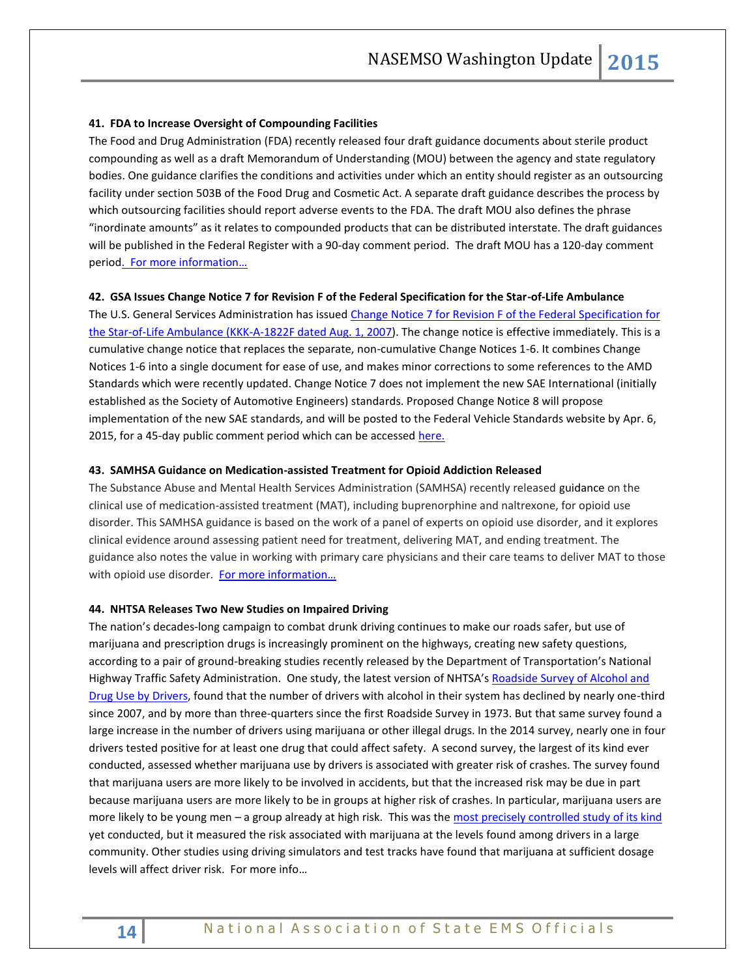#### **41. FDA to Increase Oversight of Compounding Facilities**

The Food and Drug Administration (FDA) recently released four draft guidance documents about sterile product compounding as well as a draft Memorandum of Understanding (MOU) between the agency and state regulatory bodies. One guidance clarifies the conditions and activities under which an entity should register as an outsourcing facility under section 503B of the Food Drug and Cosmetic Act. A separate draft guidance describes the process by which outsourcing facilities should report adverse events to the FDA. The draft MOU also defines the phrase "inordinate amounts" as it relates to compounded products that can be distributed interstate. The draft guidances will be published in the Federal Register with a 90-day comment period. The draft MOU has a 120-day comment period. For more information...

#### **42. GSA Issues Change Notice 7 for Revision F of the Federal Specification for the Star-of-Life Ambulance**

The U.S. General Services Administration has issued [Change Notice 7 for Revision F of the Federal Specification for](http://www.nasemso.org/documents/KKK-A-1822F-Cumulative-Change-Notice7-02Feb2015.pdf)  [the Star-of-Life Ambulance \(KKK-A-1822F dated Aug. 1, 2007\)](http://www.nasemso.org/documents/KKK-A-1822F-Cumulative-Change-Notice7-02Feb2015.pdf). The change notice is effective immediately. This is a cumulative change notice that replaces the separate, non-cumulative Change Notices 1-6. It combines Change Notices 1-6 into a single document for ease of use, and makes minor corrections to some references to the AMD Standards which were recently updated. Change Notice 7 does not implement the new SAE International (initially established as the Society of Automotive Engineers) standards. Proposed Change Notice 8 will propose implementation of the new SAE standards, and will be posted to the Federal Vehicle Standards website by Apr. 6, 2015, for a 45-day public comment period which can be accessed [here.](https://apps.fas.gsa.gov/vehiclestandards/)

#### **43. SAMHSA Guidance on Medication-assisted Treatment for Opioid Addiction Released**

The Substance Abuse and Mental Health Services Administration (SAMHSA) recently released guidance on the clinical use of medication-assisted treatment (MAT), including buprenorphine and naltrexone, for opioid use disorder. This SAMHSA guidance is based on the work of a panel of experts on opioid use disorder, and it explores clinical evidence around assessing patient need for treatment, delivering MAT, and ending treatment. The guidance also notes the value in working with primary care physicians and their care teams to deliver MAT to those with opioid use disorder. For more information...

#### **44. NHTSA Releases Two New Studies on Impaired Driving**

The nation's decades-long campaign to combat drunk driving continues to make our roads safer, but use of marijuana and prescription drugs is increasingly prominent on the highways, creating new safety questions, according to a pair of ground-breaking studies recently released by the Department of Transportation's National Highway Traffic Safety Administration. One study, the latest version of NHTSA's Roadside Survey of Alcohol and [Drug Use by Drivers,](http://www.nhtsa.gov/staticfiles/nti/pdf/812118-Roadside_Survey_2014.pdf) found that the number of drivers with alcohol in their system has declined by nearly one-third since 2007, and by more than three-quarters since the first Roadside Survey in 1973. But that same survey found a large increase in the number of drivers using marijuana or other illegal drugs. In the 2014 survey, nearly one in four drivers tested positive for at least one drug that could affect safety. A second survey, the largest of its kind ever conducted, assessed whether marijuana use by drivers is associated with greater risk of crashes. The survey found that marijuana users are more likely to be involved in accidents, but that the increased risk may be due in part because marijuana users are more likely to be in groups at higher risk of crashes. In particular, marijuana users are more likely to be young men – a group already at high risk. This was the [most precisely controlled study of its kind](http://www.nhtsa.gov/staticfiles/nti/pdf/812117-Drug_and_Alcohol_Crash_Risk.pdf) yet conducted, but it measured the risk associated with marijuana at the levels found among drivers in a large community. Other studies using driving simulators and test tracks have found that marijuana at sufficient dosage levels will affect driver risk. For more info…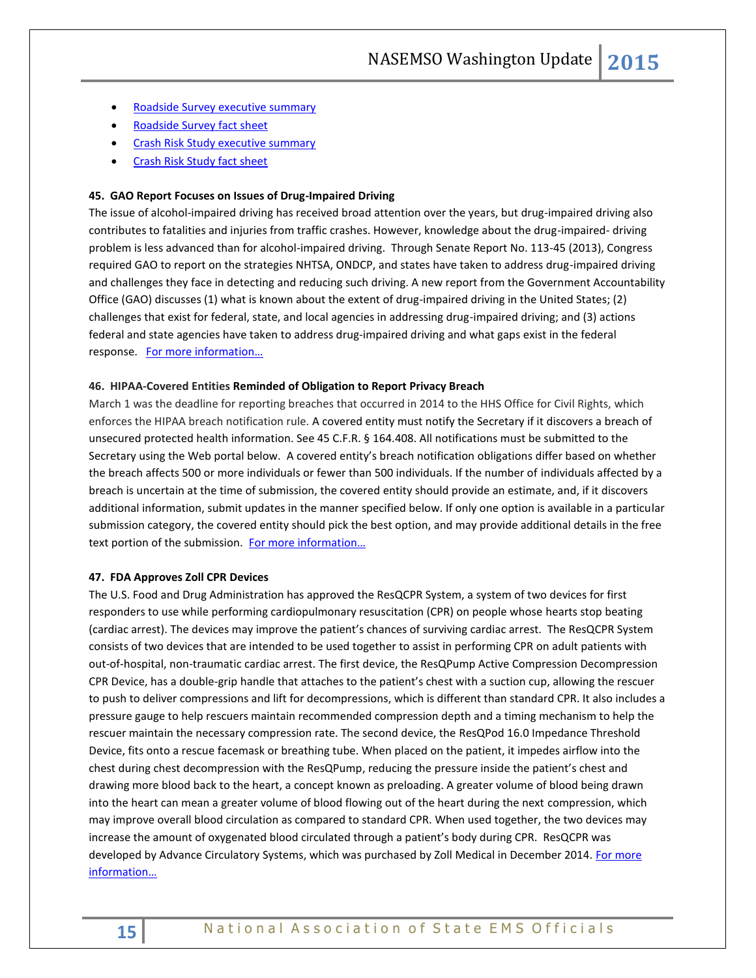- [Roadside Survey executive summary](http://www.nhtsa.gov/staticfiles/communications/pdf/RoadsideSurvey-Exec-Sum_020615.pdf)
- [Roadside Survey fact sheet](http://www.nhtsa.gov/staticfiles/communications/pdf/RoadsideSurvey-FactSheet_020615.pdf)
- [Crash Risk Study executive summary](http://www.nhtsa.gov/staticfiles/communications/pdf/CrashRiskStudy-Exec-Sum_020615.pdf)
- **•** [Crash Risk Study fact sheet](http://www.nhtsa.gov/staticfiles/communications/pdf/CrashRiskStudy-FactSheet_020615.pdf)

# **45. GAO Report Focuses on Issues of Drug-Impaired Driving**

The issue of alcohol-impaired driving has received broad attention over the years, but drug-impaired driving also contributes to fatalities and injuries from traffic crashes. However, knowledge about the drug-impaired- driving problem is less advanced than for alcohol-impaired driving. Through Senate Report No. 113-45 (2013), Congress required GAO to report on the strategies NHTSA, ONDCP, and states have taken to address drug-impaired driving and challenges they face in detecting and reducing such driving. A new report from the Government Accountability Office (GAO) discusses (1) what is known about the extent of drug-impaired driving in the United States; (2) challenges that exist for federal, state, and local agencies in addressing drug-impaired driving; and (3) actions federal and state agencies have taken to address drug-impaired driving and what gaps exist in the federal response. [For more information…](http://www.gao.gov/products/GAO-15-293)

#### **46. HIPAA-Covered Entities Reminded of Obligation to Report Privacy Breach**

March 1 was the deadline for reporting breaches that occurred in 2014 to the HHS Office for Civil Rights, which enforces the HIPAA breach notification rule. A covered entity must notify the Secretary if it discovers a breach of unsecured protected health information. See 45 C.F.R. § 164.408. All notifications must be submitted to the Secretary using the Web portal below. A covered entity's breach notification obligations differ based on whether the breach affects 500 or more individuals or fewer than 500 individuals. If the number of individuals affected by a breach is uncertain at the time of submission, the covered entity should provide an estimate, and, if it discovers additional information, submit updates in the manner specified below. If only one option is available in a particular submission category, the covered entity should pick the best option, and may provide additional details in the free text portion of the submission. For more information...

#### **47. FDA Approves Zoll CPR Devices**

The U.S. Food and Drug Administration has approved the ResQCPR System, a system of two devices for first responders to use while performing cardiopulmonary resuscitation (CPR) on people whose hearts stop beating (cardiac arrest). The devices may improve the patient's chances of surviving cardiac arrest. The ResQCPR System consists of two devices that are intended to be used together to assist in performing CPR on adult patients with out-of-hospital, non-traumatic cardiac arrest. The first device, the ResQPump Active Compression Decompression CPR Device, has a double-grip handle that attaches to the patient's chest with a suction cup, allowing the rescuer to push to deliver compressions and lift for decompressions, which is different than standard CPR. It also includes a pressure gauge to help rescuers maintain recommended compression depth and a timing mechanism to help the rescuer maintain the necessary compression rate. The second device, the ResQPod 16.0 Impedance Threshold Device, fits onto a rescue facemask or breathing tube. When placed on the patient, it impedes airflow into the chest during chest decompression with the ResQPump, reducing the pressure inside the patient's chest and drawing more blood back to the heart, a concept known as preloading. A greater volume of blood being drawn into the heart can mean a greater volume of blood flowing out of the heart during the next compression, which may improve overall blood circulation as compared to standard CPR. When used together, the two devices may increase the amount of oxygenated blood circulated through a patient's body during CPR. ResQCPR was developed by Advance Circulatory Systems, which was purchased by Zoll Medical in December 2014. For more [information…](http://www.fda.gov/NewsEvents/Newsroom/PressAnnouncements/ucm437247.htm)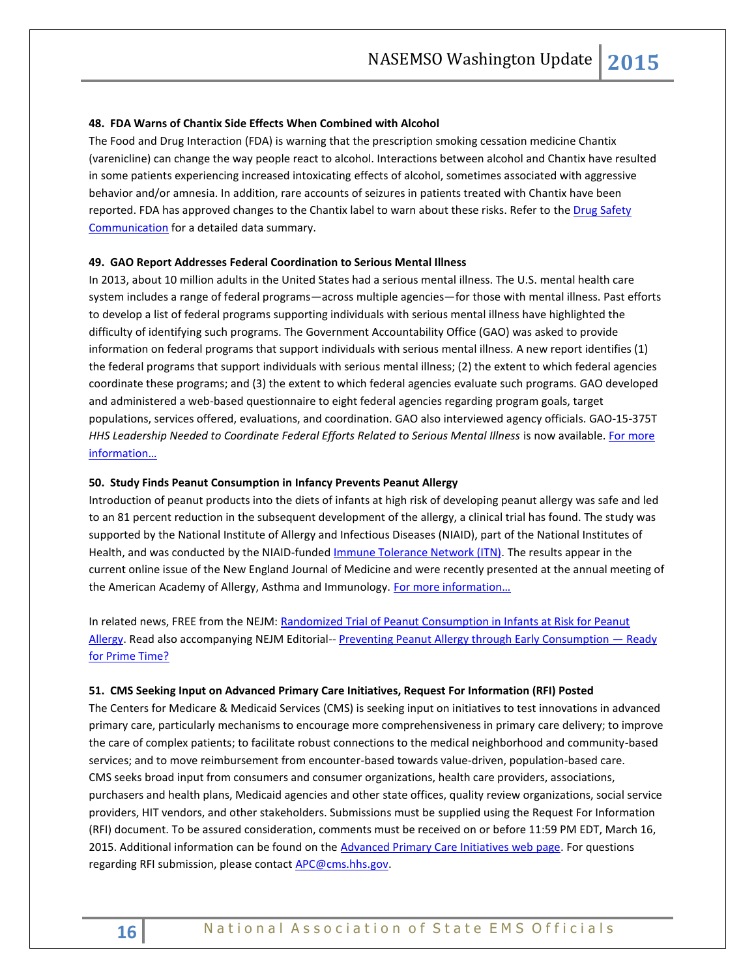#### **48. FDA Warns of Chantix Side Effects When Combined with Alcohol**

The Food and Drug Interaction (FDA) is warning that the prescription smoking cessation medicine Chantix (varenicline) can change the way people react to alcohol. Interactions between alcohol and Chantix have resulted in some patients experiencing increased intoxicating effects of alcohol, sometimes associated with aggressive behavior and/or amnesia. In addition, rare accounts of seizures in patients treated with Chantix have been reported. FDA has approved changes to the Chantix label to warn about these risks. Refer to the Drug Safety [Communication](http://links.govdelivery.com/track?type=click&enid=ZWFzPTEmbWFpbGluZ2lkPTIwMTUwMzA5LjQyNjM3NTQxJm1lc3NhZ2VpZD1NREItUFJELUJVTC0yMDE1MDMwOS40MjYzNzU0MSZkYXRhYmFzZWlkPTEwMDEmc2VyaWFsPTE3MDg3MTczJmVtYWlsaWQ9a3JvYmluc29uQGFzbWlpLm5ldCZ1c2VyaWQ9a3JvYmluc29uQGFzbWlpLm5ldCZmbD0mZXh0cmE9TXVsdGl2YXJpYXRlSWQ9JiYm&&&100&&&http://www.fda.gov/Drugs/DrugSafety/ucm436494.htm?source=govdelivery&utm_medium=email&utm_source=govdelivery) for a detailed data summary.

#### **49. GAO Report Addresses Federal Coordination to Serious Mental Illness**

In 2013, about 10 million adults in the United States had a serious mental illness. The U.S. mental health care system includes a range of federal programs—across multiple agencies—for those with mental illness. Past efforts to develop a list of federal programs supporting individuals with serious mental illness have highlighted the difficulty of identifying such programs. The Government Accountability Office (GAO) was asked to provide information on federal programs that support individuals with serious mental illness. A new report identifies (1) the federal programs that support individuals with serious mental illness; (2) the extent to which federal agencies coordinate these programs; and (3) the extent to which federal agencies evaluate such programs. GAO developed and administered a web-based questionnaire to eight federal agencies regarding program goals, target populations, services offered, evaluations, and coordination. GAO also interviewed agency officials. GAO-15-375T *HHS Leadership Needed to Coordinate Federal Efforts Related to Serious Mental Illness* is now available. [For more](http://www.gao.gov/products/GAO-15-375T)  [information…](http://www.gao.gov/products/GAO-15-375T)

# **50. Study Finds Peanut Consumption in Infancy Prevents Peanut Allergy**

Introduction of peanut products into the diets of infants at high risk of developing peanut allergy was safe and led to an 81 percent reduction in the subsequent development of the allergy, a clinical trial has found. The study was supported by the National Institute of Allergy and Infectious Diseases (NIAID), part of the National Institutes of Health, and was conducted by the NIAID-funded [Immune Tolerance Network \(ITN\).](https://immunetolerance.org/) The results appear in the current online issue of the New England Journal of Medicine and were recently presented at the annual meeting of the American Academy of Allergy, Asthma and Immunology. For more information...

In related news, FREE from the NEJM[: Randomized Trial of Peanut Consumption in Infants at Risk for Peanut](http://www.nejm.org/doi/full/10.1056/NEJMoa1414850)  [Allergy.](http://www.nejm.org/doi/full/10.1056/NEJMoa1414850) Read also accompanying NEJM Editorial-- [Preventing Peanut Allergy through Early Consumption](http://www.nejm.org/doi/full/10.1056/NEJMe1500186) — Ready [for Prime Time?](http://www.nejm.org/doi/full/10.1056/NEJMe1500186)

## **51. CMS Seeking Input on Advanced Primary Care Initiatives, Request For Information (RFI) Posted**

The Centers for Medicare & Medicaid Services (CMS) is seeking input on initiatives to test innovations in advanced primary care, particularly mechanisms to encourage more comprehensiveness in primary care delivery; to improve the care of complex patients; to facilitate robust connections to the medical neighborhood and community-based services; and to move reimbursement from encounter-based towards value-driven, population-based care. CMS seeks broad input from consumers and consumer organizations, health care providers, associations, purchasers and health plans, Medicaid agencies and other state offices, quality review organizations, social service providers, HIT vendors, and other stakeholders. Submissions must be supplied using the Request For Information (RFI) document. To be assured consideration, comments must be received on or before 11:59 PM EDT, March 16, 2015. Additional information can be found on th[e Advanced Primary Care Initiatives web page.](http://links.govdelivery.com/track?type=click&enid=ZWFzPTEmbWFpbGluZ2lkPTIwMTUwMjEzLjQxNTkwMjcxJm1lc3NhZ2VpZD1NREItUFJELUJVTC0yMDE1MDIxMy40MTU5MDI3MSZkYXRhYmFzZWlkPTEwMDEmc2VyaWFsPTE3Mzg0NDQ1JmVtYWlsaWQ9cm9iaW5zb25AbmFzZW1zby5vcmcmdXNlcmlkPXJvYmluc29uQG5hc2Vtc28ub3JnJmZsPSZleHRyYT1NdWx0aXZhcmlhdGVJZD0mJiY=&&&100&&&http://innovation.cms.gov/initiatives/Advanced-Primary-Care/) For questions regarding RFI submission, please contact **APC@cms.hhs.gov**.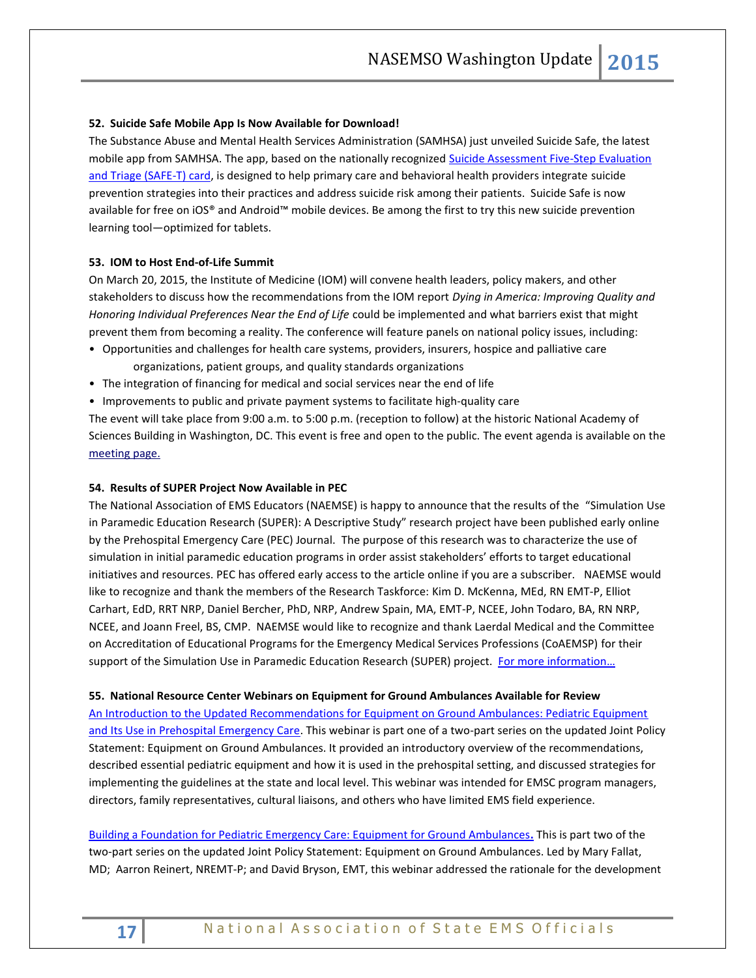# **52. Suicide Safe Mobile App Is Now Available for Download!**

The Substance Abuse and Mental Health Services Administration (SAMHSA) just unveiled Suicide Safe, the latest mobile app from SAMHSA. The app, based on the nationally recognized Suicide Assessment Five-Step Evaluation [and Triage \(SAFE-T\) card,](http://store.samhsa.gov/product/Suicide-Assessment-Five-Step-Evaluation-and-Triage-SAFE-T-/SMA09-4432) is designed to help primary care and behavioral health providers integrate suicide prevention strategies into their practices and address suicide risk among their patients. Suicide Safe is now available for free on iOS® and Android™ mobile devices. Be among the first to try this new suicide prevention learning tool—optimized for tablets.

## **53. IOM to Host End-of-Life Summit**

On March 20, 2015, the Institute of Medicine (IOM) will convene health leaders, policy makers, and other stakeholders to discuss how the recommendations from the IOM report *Dying in America: Improving Quality and Honoring Individual Preferences Near the End of Life* could be implemented and what barriers exist that might prevent them from becoming a reality. The conference will feature panels on national policy issues, including:

- Opportunities and challenges for health care systems, providers, insurers, hospice and palliative care organizations, patient groups, and quality standards organizations
- The integration of financing for medical and social services near the end of life
- Improvements to public and private payment systems to facilitate high-quality care

The event will take place from 9:00 a.m. to 5:00 p.m. (reception to follow) at the historic National Academy of Sciences Building in Washington, DC. This event is free and open to the public. The event agenda is available on the [meeting page.](http://iom.us8.list-manage2.com/track/click?u=ab74d126b7d2db12591de5c2c&id=53378ddfd0&e=fe197433b1)

#### **54. Results of SUPER Project Now Available in PEC**

The National Association of EMS Educators (NAEMSE) is happy to announce that the results of the "Simulation Use in Paramedic Education Research (SUPER): A Descriptive Study" research project have been published early online by the Prehospital Emergency Care (PEC) Journal. The purpose of this research was to characterize the use of simulation in initial paramedic education programs in order assist stakeholders' efforts to target educational initiatives and resources. PEC has offered early access to the article online if you are a subscriber. NAEMSE would like to recognize and thank the members of the Research Taskforce: Kim D. McKenna, MEd, RN EMT-P, Elliot Carhart, EdD, RRT NRP, Daniel Bercher, PhD, NRP, Andrew Spain, MA, EMT-P, NCEE, John Todaro, BA, RN NRP, NCEE, and Joann Freel, BS, CMP. NAEMSE would like to recognize and thank Laerdal Medical and the Committee on Accreditation of Educational Programs for the Emergency Medical Services Professions (CoAEMSP) for their support of the Simulation Use in Paramedic Education Research (SUPER) project. [For more information…](http://informahealthcare.com/doi/abs/10.3109/10903127.2014.995845)

#### **55. National Resource Center Webinars on Equipment for Ground Ambulances Available for Review**

[An Introduction to the Updated Recommendations for Equipment on Ground Ambulances: Pediatric Equipment](https://emscnrc.adobeconnect.com/p2i2wvet0kc/)  [and Its Use in Prehospital Emergency Care.](https://emscnrc.adobeconnect.com/p2i2wvet0kc/) This webinar is part one of a two-part series on the updated Joint Policy Statement: Equipment on Ground Ambulances. It provided an introductory overview of the recommendations, described essential pediatric equipment and how it is used in the prehospital setting, and discussed strategies for implementing the guidelines at the state and local level. This webinar was intended for EMSC program managers, directors, family representatives, cultural liaisons, and others who have limited EMS field experience.

[Building a Foundation for Pediatric Emergency Care: Equipment for Ground Ambulances](https://emscnrc.adobeconnect.com/p354e10v06y/)**.** This is part two of the two-part series on the updated Joint Policy Statement: Equipment on Ground Ambulances. Led by Mary Fallat, MD; Aarron Reinert, NREMT-P; and David Bryson, EMT, this webinar addressed the rationale for the development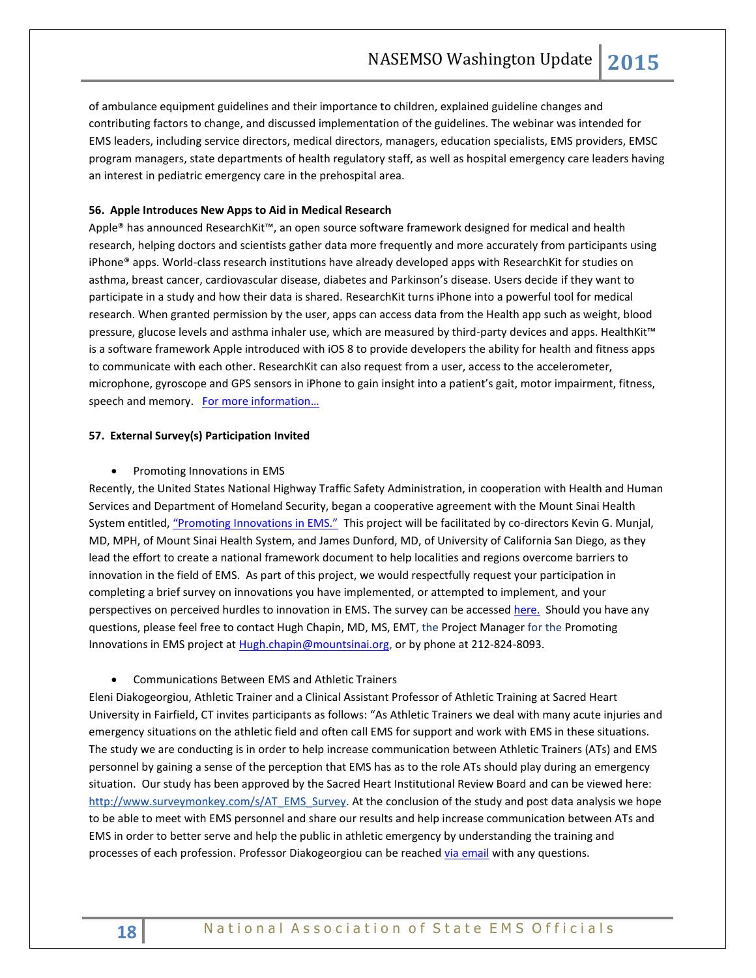of ambulance equipment guidelines and their importance to children, explained guideline changes and contributing factors to change, and discussed implementation of the guidelines. The webinar was intended for EMS leaders, including service directors, medical directors, managers, education specialists, EMS providers, EMSC program managers, state departments of health regulatory staff, as well as hospital emergency care leaders having an interest in pediatric emergency care in the prehospital area.

# **56. Apple Introduces New Apps to Aid in Medical Research**

Apple® has announced ResearchKit™, an open source software framework designed for medical and health research, helping doctors and scientists gather data more frequently and more accurately from participants using iPhone® apps. World-class research institutions have already developed apps with ResearchKit for studies on asthma, breast cancer, cardiovascular disease, diabetes and Parkinson's disease. Users decide if they want to participate in a study and how their data is shared. ResearchKit turns iPhone into a powerful tool for medical research. When granted permission by the user, apps can access data from the Health app such as weight, blood pressure, glucose levels and asthma inhaler use, which are measured by third-party devices and apps. HealthKit™ is a software framework Apple introduced with iOS 8 to provide developers the ability for health and fitness apps to communicate with each other. ResearchKit can also request from a user, access to the accelerometer, microphone, gyroscope and GPS sensors in iPhone to gain insight into a patient's gait, motor impairment, fitness, speech and memory. For more information...

#### **57. External Survey(s) Participation Invited**

#### • Promoting Innovations in EMS

Recently, the United States National Highway Traffic Safety Administration, in cooperation with Health and Human Services and Department of Homeland Security, began a cooperative agreement with the Mount Sinai Health System entitled, ["Promoting Innovations in EMS."](http://www.emsinnovations.org/) This project will be facilitated by co-directors Kevin G. Munjal, MD, MPH, of Mount Sinai Health System, and James Dunford, MD, of University of California San Diego, as they lead the effort to create a national framework document to help localities and regions overcome barriers to innovation in the field of EMS. As part of this project, we would respectfully request your participation in completing a brief survey on innovations you have implemented, or attempted to implement, and your perspectives on perceived hurdles to innovation in EMS. The survey can be accessed [here.](http://dot.sinaiem.org/sample-page/take-the-survey-for-promoting-innovations-in-ems/) Should you have any questions, please feel free to contact Hugh Chapin, MD, MS, EMT, the Project Manager for the Promoting Innovations in EMS project a[t Hugh.chapin@mountsinai.org,](mailto:Hugh.chapin@mountsinai.org) or by phone at 212-824-8093.

# Communications Between EMS and Athletic Trainers

Eleni Diakogeorgiou, Athletic Trainer and a Clinical Assistant Professor of Athletic Training at Sacred Heart University in Fairfield, CT invites participants as follows: "As Athletic Trainers we deal with many acute injuries and emergency situations on the athletic field and often call EMS for support and work with EMS in these situations. The study we are conducting is in order to help increase communication between Athletic Trainers (ATs) and EMS personnel by gaining a sense of the perception that EMS has as to the role ATs should play during an emergency situation. Our study has been approved by the Sacred Heart Institutional Review Board and can be viewed here: [http://www.surveymonkey.com/s/AT\\_EMS\\_Survey.](http://www.surveymonkey.com/s/AT_EMS_Survey) At the conclusion of the study and post data analysis we hope to be able to meet with EMS personnel and share our results and help increase communication between ATs and EMS in order to better serve and help the public in athletic emergency by understanding the training and processes of each profession. Professor Diakogeorgiou can be reached [via email](mailto:diakogeorgioue@sacredheart.edu?subject=Sacred%20Heart%20University%20Research%20Study) with any questions.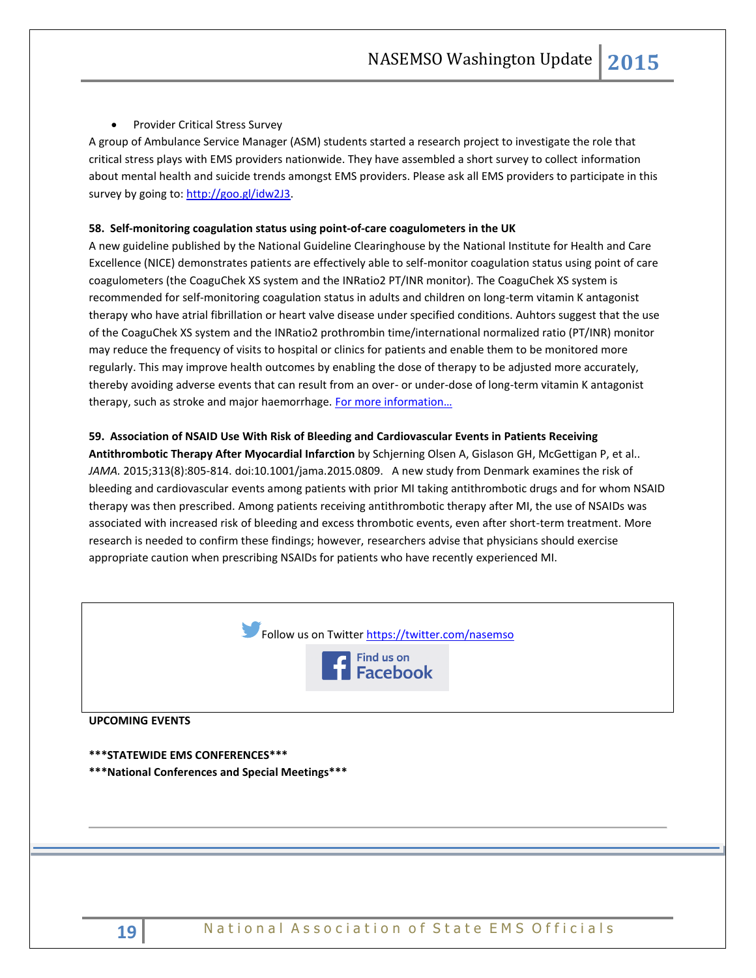# • Provider Critical Stress Survey

A group of Ambulance Service Manager (ASM) students started a research project to investigate the role that critical stress plays with EMS providers nationwide. They have assembled a short survey to collect information about mental health and suicide trends amongst EMS providers. Please ask all EMS providers to participate in this survey by going to: [http://goo.gl/idw2J3.](http://goo.gl/idw2J3)

#### **58. Self-monitoring coagulation status using point-of-care coagulometers in the UK**

A new guideline published by the National Guideline Clearinghouse by the National Institute for Health and Care Excellence (NICE) demonstrates patients are effectively able to self-monitor coagulation status using point of care coagulometers (the CoaguChek XS system and the INRatio2 PT/INR monitor). The CoaguChek XS system is recommended for self-monitoring coagulation status in adults and children on long-term vitamin K antagonist therapy who have atrial fibrillation or heart valve disease under specified conditions. Auhtors suggest that the use of the CoaguChek XS system and the INRatio2 prothrombin time/international normalized ratio (PT/INR) monitor may reduce the frequency of visits to hospital or clinics for patients and enable them to be monitored more regularly. This may improve health outcomes by enabling the dose of therapy to be adjusted more accurately, thereby avoiding adverse events that can result from an over- or under-dose of long-term vitamin K antagonist therapy, such as stroke and major haemorrhage. For more information...

#### **59. Association of NSAID Use With Risk of Bleeding and Cardiovascular Events in Patients Receiving**

**Antithrombotic Therapy After Myocardial Infarction** by Schjerning Olsen A, Gislason GH, McGettigan P, et al.. *JAMA.* 2015;313(8):805-814. doi:10.1001/jama.2015.0809. A new study from Denmark examines the risk of bleeding and cardiovascular events among patients with prior MI taking antithrombotic drugs and for whom NSAID therapy was then prescribed. Among patients receiving antithrombotic therapy after MI, the use of NSAIDs was associated with increased risk of bleeding and excess thrombotic events, even after short-term treatment. More research is needed to confirm these findings; however, researchers advise that physicians should exercise appropriate caution when prescribing NSAIDs for patients who have recently experienced MI.

|                                                  | Follow us on Twitter https://twitter.com/nasemso<br>Find us on<br>Facebook |  |
|--------------------------------------------------|----------------------------------------------------------------------------|--|
| <b>UPCOMING EVENTS</b>                           |                                                                            |  |
| *** STATEWIDE EMS CONFERENCES***                 |                                                                            |  |
| *** National Conferences and Special Meetings*** |                                                                            |  |
|                                                  |                                                                            |  |
|                                                  |                                                                            |  |
|                                                  |                                                                            |  |
|                                                  |                                                                            |  |
|                                                  |                                                                            |  |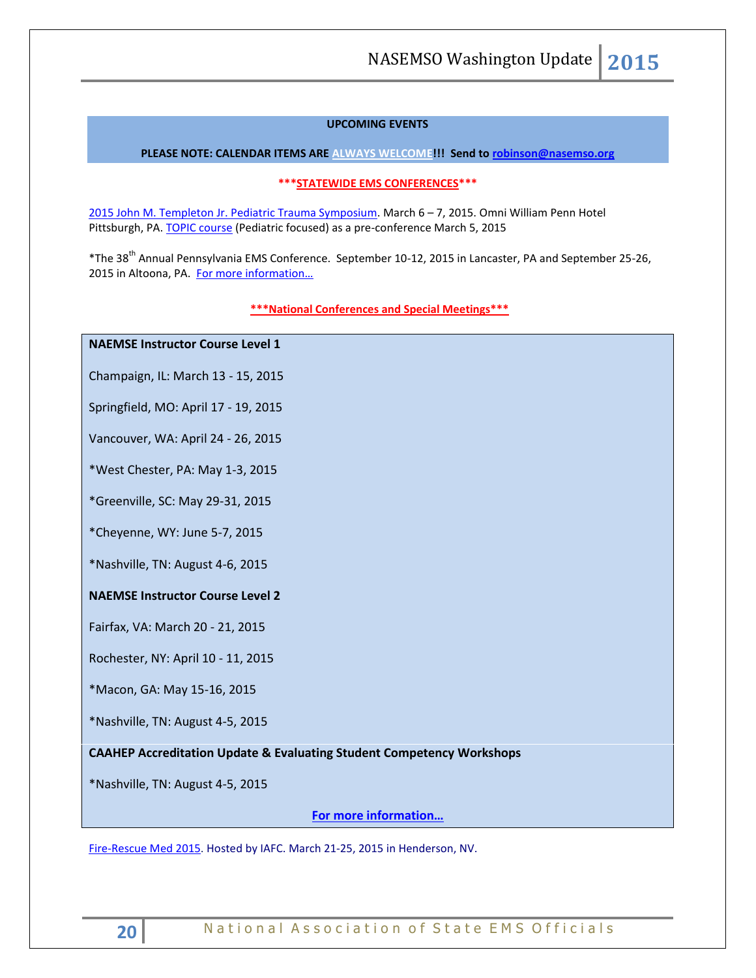# **UPCOMING EVENTS**

**PLEASE NOTE: CALENDAR ITEMS ARE ALWAYS WELCOME!!! Send t[o robinson@nasemso.org](mailto:robinson@nasemso.org)**

# **\*\*\*STATEWIDE EMS CONFERENCES\*\*\***

[2015 John M. Templeton Jr. Pediatric Trauma Symposium.](http://www.chop.edu/events/templeton-trauma-symposium-2015) March 6 – 7, 2015. Omni William Penn Hotel Pittsburgh, PA[. TOPIC course](http://www.traumanurses.org/) (Pediatric focused) as a pre-conference March 5, 2015

\*The 38th Annual Pennsylvania EMS Conference. September 10-12, 2015 in Lancaster, PA and September 25-26, 2015 in Altoona, PA. [For more information…](http://www.pehsc.org/)

#### **\*\*\*National Conferences and Special Meetings\*\*\***

# **NAEMSE Instructor Course Level 1**

Champaign, IL: March 13 - 15, 2015

Springfield, MO: April 17 - 19, 2015

Vancouver, WA: April 24 - 26, 2015

\*West Chester, PA: May 1-3, 2015

\*Greenville, SC: May 29-31, 2015

\*Cheyenne, WY: June 5-7, 2015

\*Nashville, TN: August 4-6, 2015

# **NAEMSE Instructor Course Level 2**

Fairfax, VA: March 20 - 21, 2015

Rochester, NY: April 10 - 11, 2015

\*Macon, GA: May 15-16, 2015

\*Nashville, TN: August 4-5, 2015

**CAAHEP Accreditation Update & Evaluating Student Competency Workshops**

\*Nashville, TN: August 4-5, 2015

**[For more information…](http://www.naemse.org/instructor-course/)**

[Fire-Rescue Med 2015.](http://r20.rs6.net/tn.jsp?f=001wzKW8mjjcnbesjq6-qmpJD19e-gq3Y5FOwmLWLTgNIHh6hCIiHqstIkhCoTW5Uyg5JHBLmj2zNppZBHeNTGNTdI5SrotG71jPj3RaQkWp9X6p0vhHDIEZVzNUas8In4_qQGVO71TIkVNvy5kr3wuB85fej8-1BwMpA4FqxZYhS0=&c=K-4O5t1NK0pvyYYLP6KIFRGJQfUv3C2HcUe9uWpDHDHXSHf7SX---w==&ch=Yx938ZHswsHC8i2jMpUmQmj_h7fbCpC2dtXJjMCXJYGpD2EZ9Y-O6g==) Hosted by IAFC. March 21-25, 2015 in Henderson, NV.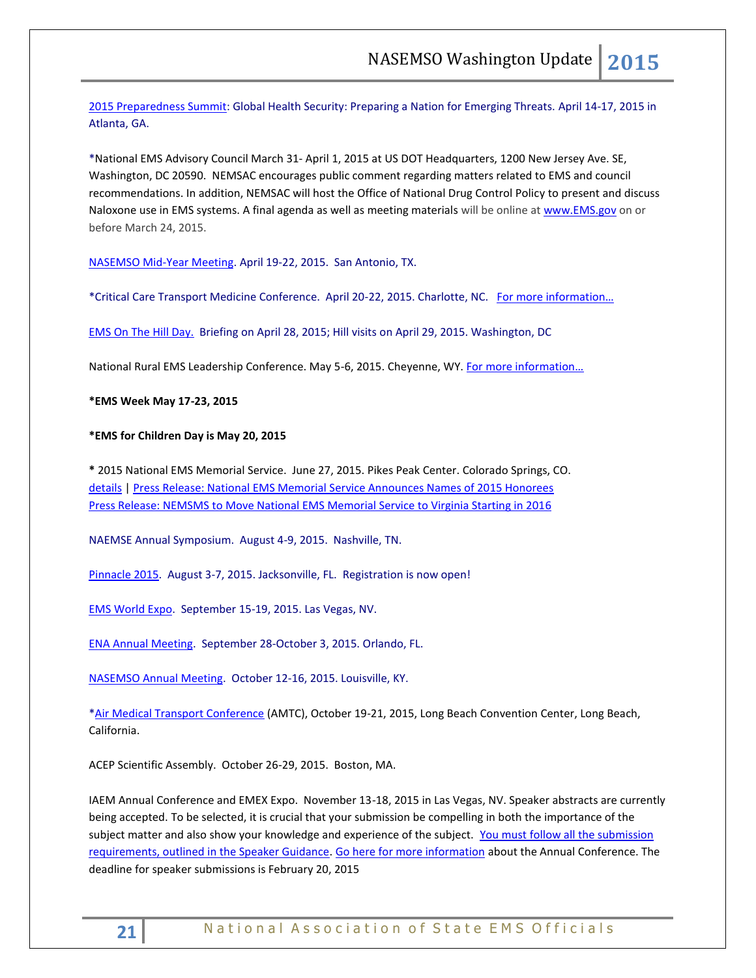[2015 Preparedness Summit:](http://r20.rs6.net/tn.jsp?f=001wzKW8mjjcnbesjq6-qmpJD19e-gq3Y5FOwmLWLTgNIHh6hCIiHqstFFMbeOwVwTNMuZX6CwfLJh1ec6r8FGt5MkZtgydlbkKvPVeaYNjBpYWW2JzpyHfusQltfbi8UCgcLGFDwwq0YW95dfGYVfynmKNiyRfz-lS_xckL2nnntfDjkKRdOYxfA==&c=K-4O5t1NK0pvyYYLP6KIFRGJQfUv3C2HcUe9uWpDHDHXSHf7SX---w==&ch=Yx938ZHswsHC8i2jMpUmQmj_h7fbCpC2dtXJjMCXJYGpD2EZ9Y-O6g==) Global Health Security: Preparing a Nation for Emerging Threats. April 14-17, 2015 in Atlanta, GA.

\*National EMS Advisory Council March 31- April 1, 2015 at US DOT Headquarters, 1200 New Jersey Ave. SE, Washington, DC 20590. NEMSAC encourages public comment regarding matters related to EMS and council recommendations. In addition, NEMSAC will host the Office of National Drug Control Policy to present and discuss Naloxone use in EMS systems. A final agenda as well as meeting materials will be online a[t www.EMS.gov](http://links.govdelivery.com/track?type=click&enid=ZWFzPTEmbWFpbGluZ2lkPTIwMTUwMzEwLjQyNjYwODExJm1lc3NhZ2VpZD1NREItUFJELUJVTC0yMDE1MDMxMC40MjY2MDgxMSZkYXRhYmFzZWlkPTEwMDEmc2VyaWFsPTE2OTg2MDc4JmVtYWlsaWQ9cm9iaW5zb25AbmFzZW1zby5vcmcmdXNlcmlkPXJvYmluc29uQG5hc2Vtc28ub3JnJmZsPSZleHRyYT1NdWx0aXZhcmlhdGVJZD0mJiY=&&&102&&&http://www.ems.gov) on or before March 24, 2015.

[NASEMSO Mid-Year Meeting.](http://www.nasemso.org/Meetings/MidYear/index.asp) April 19-22, 2015. San Antonio, TX.

\*Critical Care Transport Medicine Conference. April 20-22, 2015. Charlotte, NC. [For more information…](https://ampa.org/cctmc_2015)

[EMS On The Hill Day.](http://www.naemt.org/advocacy/emsonthehillday.aspx) Briefing on April 28, 2015; Hill visits on April 29, 2015. Washington, DC

National Rural EMS Leadership Conference. May 5-6, 2015. Cheyenne, WY. For more information...

**\*EMS Week May 17-23, 2015**

#### **\*EMS for Children Day is May 20, 2015**

**\*** 2015 National EMS Memorial Service. June 27, 2015. Pikes Peak Center. Colorado Springs, CO. [details](http://www.nemsms.org/) | [Press Release: National EMS Memorial Service Announces Names of 2015 Honorees](http://www.nasemso.org/Resources/Calendar/documents/NEMSMS-Announces-2015-Honorees.pdf) [Press Release: NEMSMS to Move National EMS Memorial Service to Virginia Starting in 2016](http://www.nasemso.org/Resources/Calendar/documents/NEMSMS-Press-Release-Transition-Announcement.pdf)

NAEMSE Annual Symposium. August 4-9, 2015. Nashville, TN.

[Pinnacle 2015.](http://pinnacle-ems.com/program/) August 3-7, 2015. Jacksonville, FL. Registration is now open!

[EMS World Expo.](http://emsworldexpo.com/) September 15-19, 2015. Las Vegas, NV.

[ENA Annual Meeting.](http://www.ena.org/education/conferences/2015/Pages/default.aspx) September 28-October 3, 2015. Orlando, FL.

[NASEMSO Annual Meeting.](http://www.nasemso.org/Meetings/Annual/AnnualMeeting2015.asp) October 12-16, 2015. Louisville, KY.

[\\*Air Medical Transport Conference](http://aams.org/events/2015-air-medical-transport-conference/) (AMTC), October 19-21, 2015, Long Beach Convention Center, Long Beach, California.

ACEP Scientific Assembly. October 26-29, 2015. Boston, MA.

IAEM Annual Conference and EMEX Expo. November 13-18, 2015 in Las Vegas, NV. Speaker abstracts are currently being accepted. To be selected, it is crucial that your submission be compelling in both the importance of the subject matter and also show your knowledge and experience of the subject. You must follow all the submission [requirements, outlined in the Speaker Guidance.](http://cts.vresp.com/c/?IAEM/46d16c294a/3733acafb6/1496faeb53) [Go here for more information](http://cts.vresp.com/c/?IAEM/46d16c294a/3733acafb6/9897cf8fb8/p=events/annual-conference) about the Annual Conference. The deadline for speaker submissions is February 20, 2015